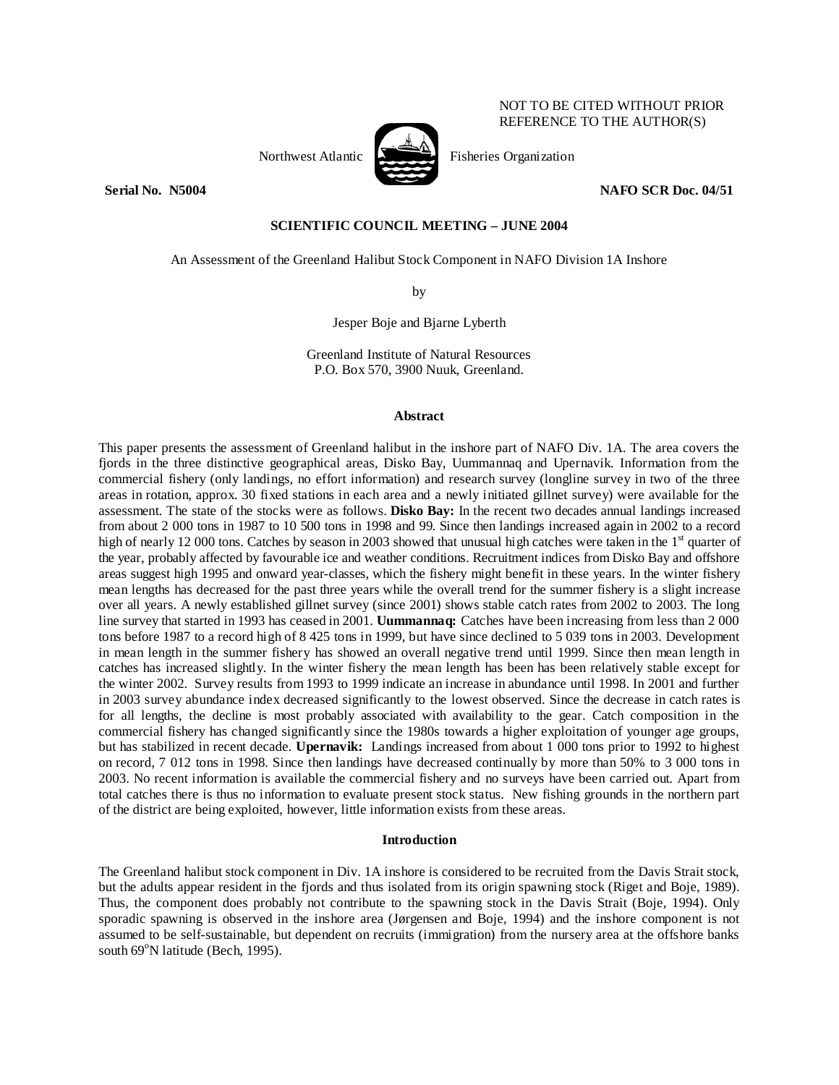Northwest Atlantic Fisheries Organization

**Serial No. N5004 NAFO SCR Doc. 04/51** 

NOT TO BE CITED WITHOUT PRIOR REFERENCE TO THE AUTHOR(S)

# **SCIENTIFIC COUNCIL MEETING – JUNE 2004**

An Assessment of the Greenland Halibut Stock Component in NAFO Division 1A Inshore

by

Jesper Boje and Bjarne Lyberth

Greenland Institute of Natural Resources P.O. Box 570, 3900 Nuuk, Greenland.

## **Abstract**

This paper presents the assessment of Greenland halibut in the inshore part of NAFO Div. 1A. The area covers the fjords in the three distinctive geographical areas, Disko Bay, Uummannaq and Upernavik. Information from the commercial fishery (only landings, no effort information) and research survey (longline survey in two of the three areas in rotation, approx. 30 fixed stations in each area and a newly initiated gillnet survey) were available for the assessment. The state of the stocks were as follows. **Disko Bay:** In the recent two decades annual landings increased from about 2 000 tons in 1987 to 10 500 tons in 1998 and 99. Since then landings increased again in 2002 to a record high of nearly 12 000 tons. Catches by season in 2003 showed that unusual high catches were taken in the  $1<sup>st</sup>$  quarter of the year, probably affected by favourable ice and weather conditions. Recruitment indices from Disko Bay and offshore areas suggest high 1995 and onward year-classes, which the fishery might benefit in these years. In the winter fishery mean lengths has decreased for the past three years while the overall trend for the summer fishery is a slight increase over all years. A newly established gillnet survey (since 2001) shows stable catch rates from 2002 to 2003. The long line survey that started in 1993 has ceased in 2001. **Uummannaq:** Catches have been increasing from less than 2 000 tons before 1987 to a record high of 8 425 tons in 1999, but have since declined to 5 039 tons in 2003. Development in mean length in the summer fishery has showed an overall negative trend until 1999. Since then mean length in catches has increased slightly. In the winter fishery the mean length has been has been relatively stable except for the winter 2002. Survey results from 1993 to 1999 indicate an increase in abundance until 1998. In 2001 and further in 2003 survey abundance index decreased significantly to the lowest observed. Since the decrease in catch rates is for all lengths, the decline is most probably associated with availability to the gear. Catch composition in the commercial fishery has changed significantly since the 1980s towards a higher exploitation of younger age groups, but has stabilized in recent decade. **Upernavik:** Landings increased from about 1 000 tons prior to 1992 to highest on record, 7 012 tons in 1998. Since then landings have decreased continually by more than 50% to 3 000 tons in 2003. No recent information is available the commercial fishery and no surveys have been carried out. Apart from total catches there is thus no information to evaluate present stock status. New fishing grounds in the northern part of the district are being exploited, however, little information exists from these areas.

## **Introduction**

The Greenland halibut stock component in Div. 1A inshore is considered to be recruited from the Davis Strait stock, but the adults appear resident in the fjords and thus isolated from its origin spawning stock (Riget and Boje, 1989). Thus, the component does probably not contribute to the spawning stock in the Davis Strait (Boje, 1994). Only sporadic spawning is observed in the inshore area (Jørgensen and Boje, 1994) and the inshore component is not assumed to be self-sustainable, but dependent on recruits (immigration) from the nursery area at the offshore banks south 69<sup>°</sup>N latitude (Bech, 1995).

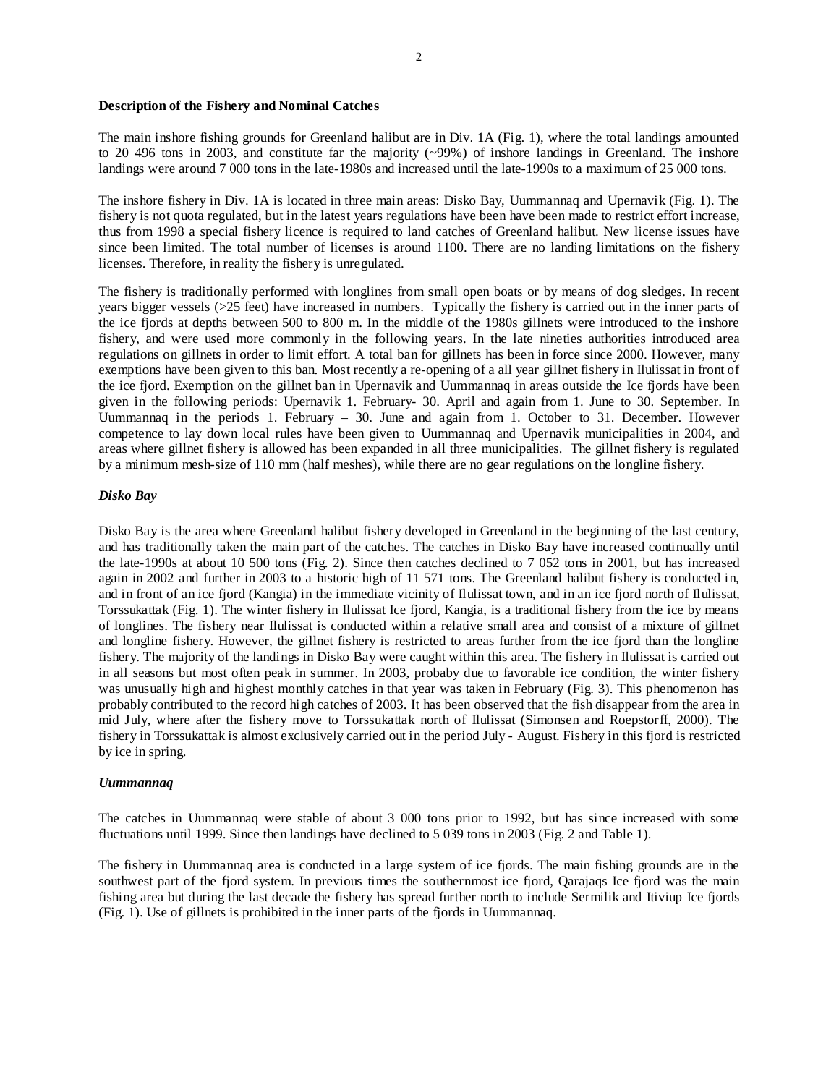## **Description of the Fishery and Nominal Catches**

The main inshore fishing grounds for Greenland halibut are in Div. 1A (Fig. 1), where the total landings amounted to 20 496 tons in 2003, and constitute far the majority (~99%) of inshore landings in Greenland. The inshore landings were around 7 000 tons in the late-1980s and increased until the late-1990s to a maximum of 25 000 tons.

The inshore fishery in Div. 1A is located in three main areas: Disko Bay, Uummannaq and Upernavik (Fig. 1). The fishery is not quota regulated, but in the latest years regulations have been have been made to restrict effort increase, thus from 1998 a special fishery licence is required to land catches of Greenland halibut. New license issues have since been limited. The total number of licenses is around 1100. There are no landing limitations on the fishery licenses. Therefore, in reality the fishery is unregulated.

The fishery is traditionally performed with longlines from small open boats or by means of dog sledges. In recent years bigger vessels (>25 feet) have increased in numbers. Typically the fishery is carried out in the inner parts of the ice fjords at depths between 500 to 800 m. In the middle of the 1980s gillnets were introduced to the inshore fishery, and were used more commonly in the following years. In the late nineties authorities introduced area regulations on gillnets in order to limit effort. A total ban for gillnets has been in force since 2000. However, many exemptions have been given to this ban. Most recently a re-opening of a all year gillnet fishery in Ilulissat in front of the ice fjord. Exemption on the gillnet ban in Upernavik and Uummannaq in areas outside the Ice fjords have been given in the following periods: Upernavik 1. February- 30. April and again from 1. June to 30. September. In Uummannaq in the periods 1. February – 30. June and again from 1. October to 31. December. However competence to lay down local rules have been given to Uummannaq and Upernavik municipalities in 2004, and areas where gillnet fishery is allowed has been expanded in all three municipalities. The gillnet fishery is regulated by a minimum mesh-size of 110 mm (half meshes), while there are no gear regulations on the longline fishery.

# *Disko Bay*

Disko Bay is the area where Greenland halibut fishery developed in Greenland in the beginning of the last century, and has traditionally taken the main part of the catches. The catches in Disko Bay have increased continually until the late-1990s at about 10 500 tons (Fig. 2). Since then catches declined to 7 052 tons in 2001, but has increased again in 2002 and further in 2003 to a historic high of 11 571 tons. The Greenland halibut fishery is conducted in, and in front of an ice fjord (Kangia) in the immediate vicinity of Ilulissat town, and in an ice fjord north of Ilulissat, Torssukattak (Fig. 1). The winter fishery in Ilulissat Ice fjord, Kangia, is a traditional fishery from the ice by means of longlines. The fishery near Ilulissat is conducted within a relative small area and consist of a mixture of gillnet and longline fishery. However, the gillnet fishery is restricted to areas further from the ice fjord than the longline fishery. The majority of the landings in Disko Bay were caught within this area. The fishery in Ilulissat is carried out in all seasons but most often peak in summer. In 2003, probaby due to favorable ice condition, the winter fishery was unusually high and highest monthly catches in that year was taken in February (Fig. 3). This phenomenon has probably contributed to the record high catches of 2003. It has been observed that the fish disappear from the area in mid July, where after the fishery move to Torssukattak north of Ilulissat (Simonsen and Roepstorff, 2000). The fishery in Torssukattak is almost exclusively carried out in the period July - August. Fishery in this fjord is restricted by ice in spring.

## *Uummannaq*

The catches in Uummannaq were stable of about 3 000 tons prior to 1992, but has since increased with some fluctuations until 1999. Since then landings have declined to 5 039 tons in 2003 (Fig. 2 and Table 1).

The fishery in Uummannaq area is conducted in a large system of ice fjords. The main fishing grounds are in the southwest part of the fjord system. In previous times the southernmost ice fjord, Qarajaqs Ice fjord was the main fishing area but during the last decade the fishery has spread further north to include Sermilik and Itiviup Ice fjords (Fig. 1). Use of gillnets is prohibited in the inner parts of the fjords in Uummannaq.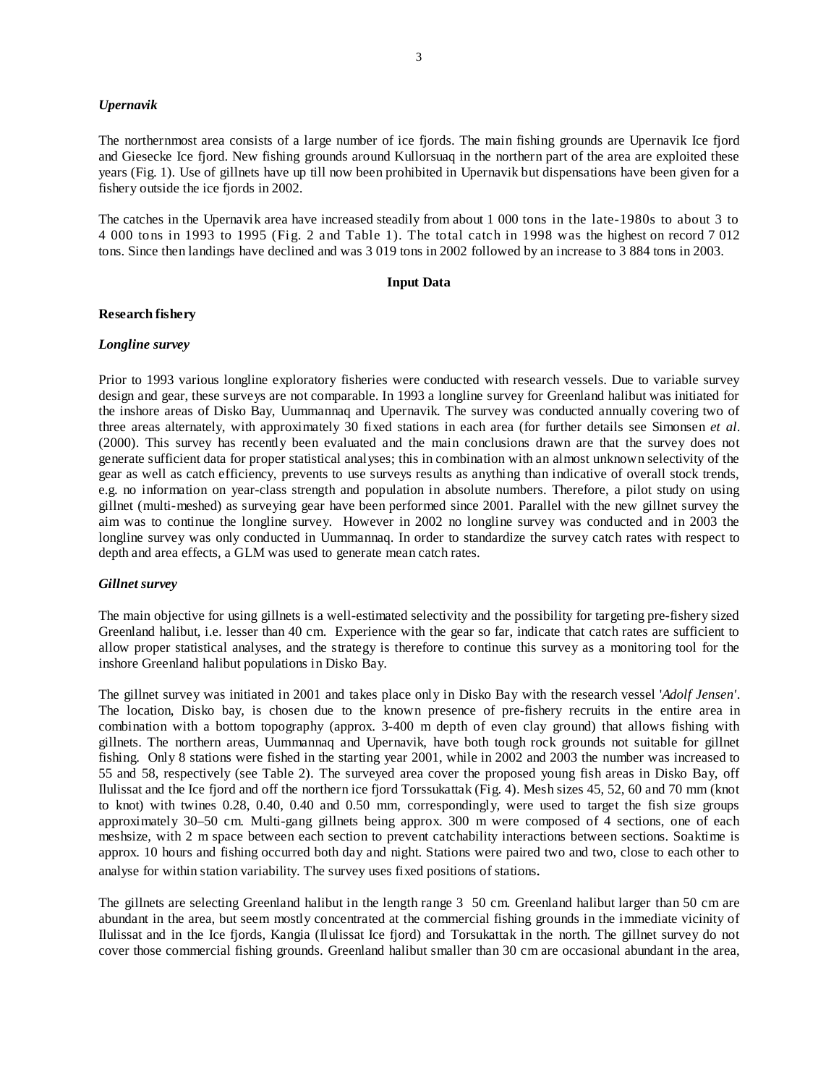## *Upernavik*

The northernmost area consists of a large number of ice fjords. The main fishing grounds are Upernavik Ice fjord and Giesecke Ice fjord. New fishing grounds around Kullorsuaq in the northern part of the area are exploited these years (Fig. 1). Use of gillnets have up till now been prohibited in Upernavik but dispensations have been given for a fishery outside the ice fjords in 2002.

The catches in the Upernavik area have increased steadily from about 1 000 tons in the late-1980s to about 3 to 4 000 tons in 1993 to 1995 (Fig. 2 and Table 1). The total catch in 1998 was the highest on record 7 012 tons. Since then landings have declined and was 3 019 tons in 2002 followed by an increase to 3 884 tons in 2003.

## **Input Data**

## **Research fishery**

# *Longline survey*

Prior to 1993 various longline exploratory fisheries were conducted with research vessels. Due to variable survey design and gear, these surveys are not comparable. In 1993 a longline survey for Greenland halibut was initiated for the inshore areas of Disko Bay, Uummannaq and Upernavik. The survey was conducted annually covering two of three areas alternately, with approximately 30 fixed stations in each area (for further details see Simonsen *et al*. (2000). This survey has recently been evaluated and the main conclusions drawn are that the survey does not generate sufficient data for proper statistical analyses; this in combination with an almost unknown selectivity of the gear as well as catch efficiency, prevents to use surveys results as anything than indicative of overall stock trends, e.g. no information on year-class strength and population in absolute numbers. Therefore, a pilot study on using gillnet (multi-meshed) as surveying gear have been performed since 2001. Parallel with the new gillnet survey the aim was to continue the longline survey. However in 2002 no longline survey was conducted and in 2003 the longline survey was only conducted in Uummannaq. In order to standardize the survey catch rates with respect to depth and area effects, a GLM was used to generate mean catch rates.

## *Gillnet survey*

The main objective for using gillnets is a well-estimated selectivity and the possibility for targeting pre-fishery sized Greenland halibut, i.e. lesser than 40 cm. Experience with the gear so far, indicate that catch rates are sufficient to allow proper statistical analyses, and the strategy is therefore to continue this survey as a monitoring tool for the inshore Greenland halibut populations in Disko Bay.

The gillnet survey was initiated in 2001 and takes place only in Disko Bay with the research vessel '*Adolf Jensen'*. The location, Disko bay, is chosen due to the known presence of pre-fishery recruits in the entire area in combination with a bottom topography (approx. 3-400 m depth of even clay ground) that allows fishing with gillnets. The northern areas, Uummannaq and Upernavik, have both tough rock grounds not suitable for gillnet fishing. Only 8 stations were fished in the starting year 2001, while in 2002 and 2003 the number was increased to 55 and 58, respectively (see Table 2). The surveyed area cover the proposed young fish areas in Disko Bay, off Ilulissat and the Ice fjord and off the northern ice fjord Torssukattak (Fig. 4). Mesh sizes 45, 52, 60 and 70 mm (knot to knot) with twines 0.28, 0.40, 0.40 and 0.50 mm, correspondingly, were used to target the fish size groups approximately 30–50 cm. Multi-gang gillnets being approx. 300 m were composed of 4 sections, one of each meshsize, with 2 m space between each section to prevent catchability interactions between sections. Soaktime is approx. 10 hours and fishing occurred both day and night. Stations were paired two and two, close to each other to analyse for within station variability. The survey uses fixed positions of stations.

The gillnets are selecting Greenland halibut in the length range 3 50 cm. Greenland halibut larger than 50 cm are abundant in the area, but seem mostly concentrated at the commercial fishing grounds in the immediate vicinity of Ilulissat and in the Ice fjords, Kangia (Ilulissat Ice fjord) and Torsukattak in the north. The gillnet survey do not cover those commercial fishing grounds. Greenland halibut smaller than 30 cm are occasional abundant in the area,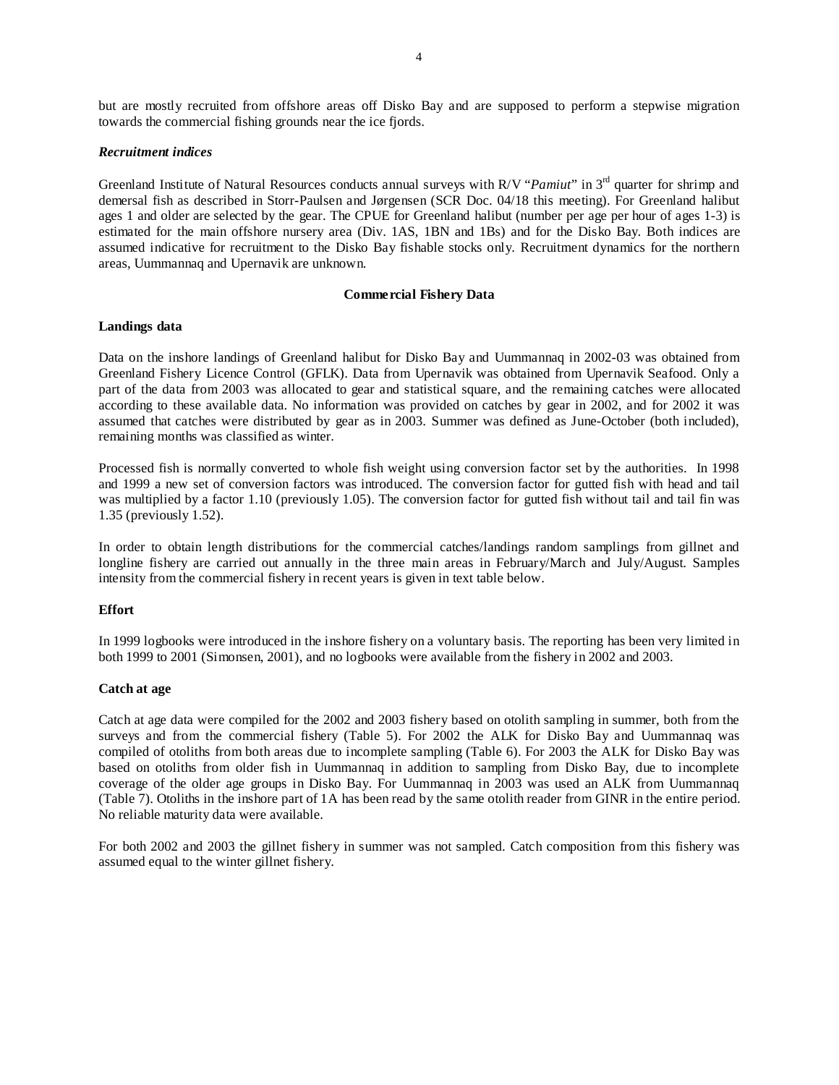but are mostly recruited from offshore areas off Disko Bay and are supposed to perform a stepwise migration towards the commercial fishing grounds near the ice fjords.

## *Recruitment indices*

Greenland Institute of Natural Resources conducts annual surveys with R/V "*Pamiut*" in 3<sup>rd</sup> quarter for shrimp and demersal fish as described in Storr-Paulsen and Jørgensen (SCR Doc. 04/18 this meeting). For Greenland halibut ages 1 and older are selected by the gear. The CPUE for Greenland halibut (number per age per hour of ages 1-3) is estimated for the main offshore nursery area (Div. 1AS, 1BN and 1Bs) and for the Disko Bay. Both indices are assumed indicative for recruitment to the Disko Bay fishable stocks only. Recruitment dynamics for the northern areas, Uummannaq and Upernavik are unknown.

# **Commercial Fishery Data**

## **Landings data**

Data on the inshore landings of Greenland halibut for Disko Bay and Uummannaq in 2002-03 was obtained from Greenland Fishery Licence Control (GFLK). Data from Upernavik was obtained from Upernavik Seafood. Only a part of the data from 2003 was allocated to gear and statistical square, and the remaining catches were allocated according to these available data. No information was provided on catches by gear in 2002, and for 2002 it was assumed that catches were distributed by gear as in 2003. Summer was defined as June-October (both included), remaining months was classified as winter.

Processed fish is normally converted to whole fish weight using conversion factor set by the authorities. In 1998 and 1999 a new set of conversion factors was introduced. The conversion factor for gutted fish with head and tail was multiplied by a factor 1.10 (previously 1.05). The conversion factor for gutted fish without tail and tail fin was 1.35 (previously 1.52).

In order to obtain length distributions for the commercial catches/landings random samplings from gillnet and longline fishery are carried out annually in the three main areas in February/March and July/August. Samples intensity from the commercial fishery in recent years is given in text table below.

# **Effort**

In 1999 logbooks were introduced in the inshore fishery on a voluntary basis. The reporting has been very limited in both 1999 to 2001 (Simonsen, 2001), and no logbooks were available from the fishery in 2002 and 2003.

# **Catch at age**

Catch at age data were compiled for the 2002 and 2003 fishery based on otolith sampling in summer, both from the surveys and from the commercial fishery (Table 5). For 2002 the ALK for Disko Bay and Uummannaq was compiled of otoliths from both areas due to incomplete sampling (Table 6). For 2003 the ALK for Disko Bay was based on otoliths from older fish in Uummannaq in addition to sampling from Disko Bay, due to incomplete coverage of the older age groups in Disko Bay. For Uummannaq in 2003 was used an ALK from Uummannaq (Table 7). Otoliths in the inshore part of 1A has been read by the same otolith reader from GINR in the entire period. No reliable maturity data were available.

For both 2002 and 2003 the gillnet fishery in summer was not sampled. Catch composition from this fishery was assumed equal to the winter gillnet fishery.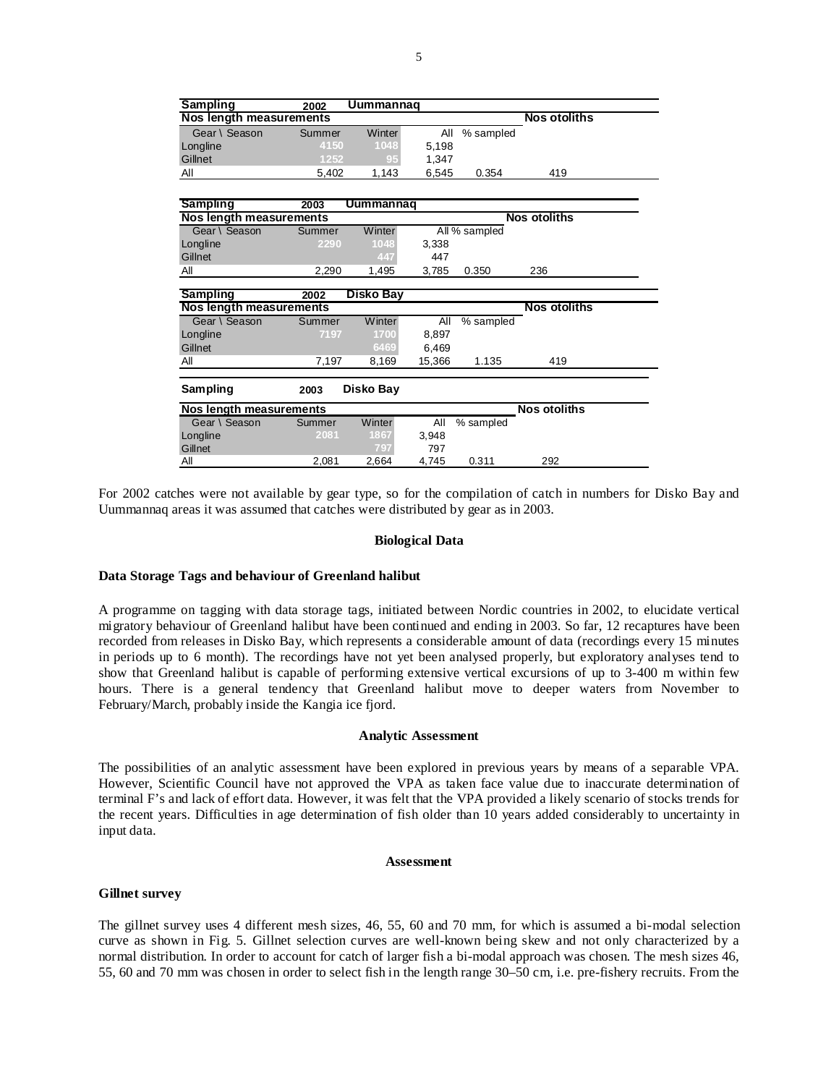| <b>Sampling</b>                                 | 2002   | Uummannaq        |        |               |                     |  |
|-------------------------------------------------|--------|------------------|--------|---------------|---------------------|--|
| Nos length measurements                         |        |                  |        |               | <b>Nos otoliths</b> |  |
| Gear \ Season                                   | Summer | <b>Winter</b>    | All    | % sampled     |                     |  |
| Longline                                        | 4150   | 1048             | 5,198  |               |                     |  |
| Gillnet                                         | 1252   | 95               | 1,347  |               |                     |  |
| All                                             | 5,402  | 1,143            | 6,545  | 0.354         | 419                 |  |
|                                                 |        |                  |        |               |                     |  |
| <b>Sampling</b>                                 | 2003   | <b>Uummannag</b> |        |               |                     |  |
| Nos length measurements                         |        |                  |        |               | <b>Nos otoliths</b> |  |
| Gear \ Season                                   | Summer | Winter           |        | All % sampled |                     |  |
| Longline                                        | 2290   | 1048             | 3,338  |               |                     |  |
| Gillnet                                         |        | 447              | 447    |               |                     |  |
| All                                             | 2,290  | 1,495            | 3,785  | 0.350         | 236                 |  |
|                                                 |        |                  |        |               |                     |  |
|                                                 |        |                  |        |               |                     |  |
| Sampling                                        | 2002   | Disko Bay        |        |               |                     |  |
| <b>Nos length measurements</b><br>Gear \ Season | Summer | Winter           | All    |               | <b>Nos otoliths</b> |  |
|                                                 | 7197   | 1700             |        | % sampled     |                     |  |
| Longline<br>Gillnet                             |        |                  | 8,897  |               |                     |  |
| All                                             | 7,197  | 6469<br>8,169    | 6,469  | 1.135         | 419                 |  |
|                                                 |        |                  | 15,366 |               |                     |  |
| Sampling                                        | 2003   | Disko Bay        |        |               |                     |  |
| Nos length measurements                         |        |                  |        |               | <b>Nos otoliths</b> |  |
| Gear \ Season                                   | Summer | Winter           | All    | % sampled     |                     |  |
| Longline                                        | 2081   | 1867             | 3.948  |               |                     |  |
| Gillnet                                         |        | 797              | 797    |               |                     |  |

For 2002 catches were not available by gear type, so for the compilation of catch in numbers for Disko Bay and Uummannaq areas it was assumed that catches were distributed by gear as in 2003.

## **Biological Data**

#### **Data Storage Tags and behaviour of Greenland halibut**

A programme on tagging with data storage tags, initiated between Nordic countries in 2002, to elucidate vertical migratory behaviour of Greenland halibut have been continued and ending in 2003. So far, 12 recaptures have been recorded from releases in Disko Bay, which represents a considerable amount of data (recordings every 15 minutes in periods up to 6 month). The recordings have not yet been analysed properly, but exploratory analyses tend to show that Greenland halibut is capable of performing extensive vertical excursions of up to 3-400 m within few hours. There is a general tendency that Greenland halibut move to deeper waters from November to February/March, probably inside the Kangia ice fjord.

#### **Analytic Assessment**

The possibilities of an analytic assessment have been explored in previous years by means of a separable VPA. However, Scientific Council have not approved the VPA as taken face value due to inaccurate determination of terminal F's and lack of effort data. However, it was felt that the VPA provided a likely scenario of stocks trends for the recent years. Difficulties in age determination of fish older than 10 years added considerably to uncertainty in input data.

#### **Assessment**

## **Gillnet survey**

The gillnet survey uses 4 different mesh sizes, 46, 55, 60 and 70 mm, for which is assumed a bi-modal selection curve as shown in Fig. 5. Gillnet selection curves are well-known being skew and not only characterized by a normal distribution. In order to account for catch of larger fish a bi-modal approach was chosen. The mesh sizes 46, 55, 60 and 70 mm was chosen in order to select fish in the length range 30–50 cm, i.e. pre-fishery recruits. From the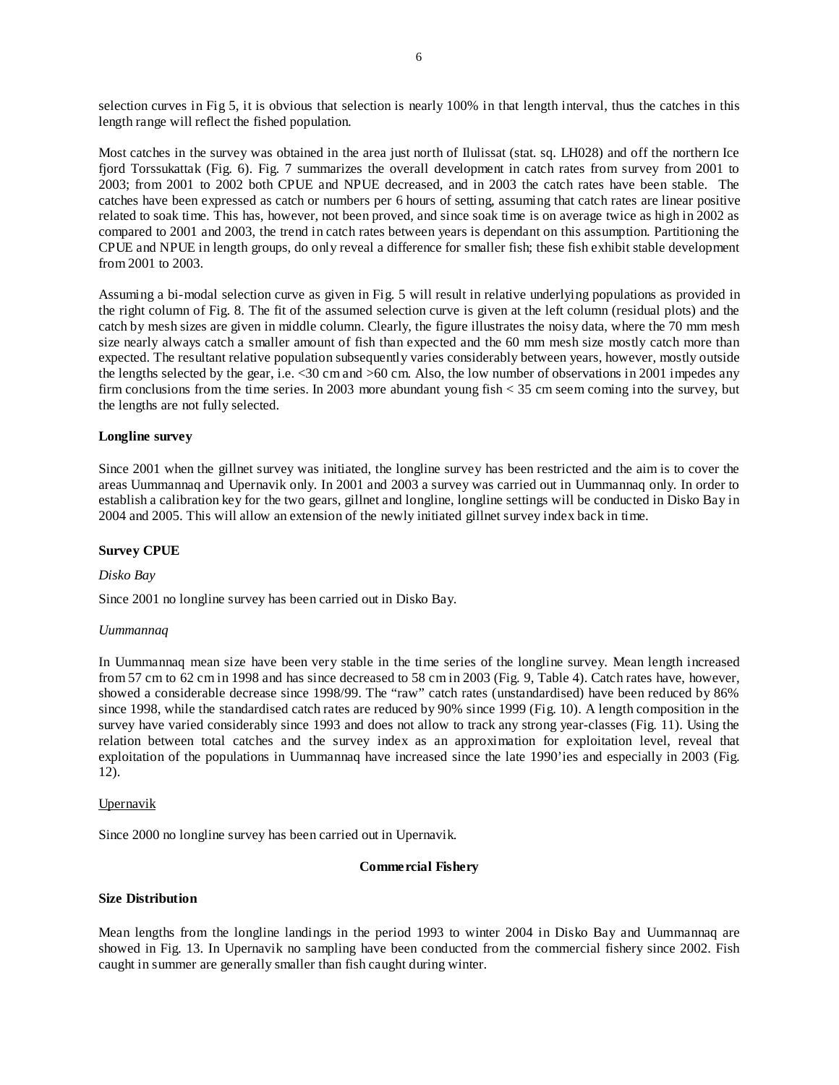selection curves in Fig 5, it is obvious that selection is nearly 100% in that length interval, thus the catches in this length range will reflect the fished population.

Most catches in the survey was obtained in the area just north of Ilulissat (stat. sq. LH028) and off the northern Ice fjord Torssukattak (Fig. 6). Fig. 7 summarizes the overall development in catch rates from survey from 2001 to 2003; from 2001 to 2002 both CPUE and NPUE decreased, and in 2003 the catch rates have been stable. The catches have been expressed as catch or numbers per 6 hours of setting, assuming that catch rates are linear positive related to soak time. This has, however, not been proved, and since soak time is on average twice as high in 2002 as compared to 2001 and 2003, the trend in catch rates between years is dependant on this assumption. Partitioning the CPUE and NPUE in length groups, do only reveal a difference for smaller fish; these fish exhibit stable development from 2001 to 2003.

Assuming a bi-modal selection curve as given in Fig. 5 will result in relative underlying populations as provided in the right column of Fig. 8. The fit of the assumed selection curve is given at the left column (residual plots) and the catch by mesh sizes are given in middle column. Clearly, the figure illustrates the noisy data, where the 70 mm mesh size nearly always catch a smaller amount of fish than expected and the 60 mm mesh size mostly catch more than expected. The resultant relative population subsequently varies considerably between years, however, mostly outside the lengths selected by the gear, i.e. <30 cm and >60 cm. Also, the low number of observations in 2001 impedes any firm conclusions from the time series. In 2003 more abundant young fish < 35 cm seem coming into the survey, but the lengths are not fully selected.

# **Longline survey**

Since 2001 when the gillnet survey was initiated, the longline survey has been restricted and the aim is to cover the areas Uummannaq and Upernavik only. In 2001 and 2003 a survey was carried out in Uummannaq only. In order to establish a calibration key for the two gears, gillnet and longline, longline settings will be conducted in Disko Bay in 2004 and 2005. This will allow an extension of the newly initiated gillnet survey index back in time.

# **Survey CPUE**

*Disko Bay* 

Since 2001 no longline survey has been carried out in Disko Bay.

# *Uummannaq*

In Uummannaq mean size have been very stable in the time series of the longline survey. Mean length increased from 57 cm to 62 cm in 1998 and has since decreased to 58 cm in 2003 (Fig. 9, Table 4). Catch rates have, however, showed a considerable decrease since 1998/99. The "raw" catch rates (unstandardised) have been reduced by 86% since 1998, while the standardised catch rates are reduced by 90% since 1999 (Fig. 10). A length composition in the survey have varied considerably since 1993 and does not allow to track any strong year-classes (Fig. 11). Using the relation between total catches and the survey index as an approximation for exploitation level, reveal that exploitation of the populations in Uummannaq have increased since the late 1990'ies and especially in 2003 (Fig. 12).

# Upernavik

Since 2000 no longline survey has been carried out in Upernavik.

# **Commercial Fishery**

# **Size Distribution**

Mean lengths from the longline landings in the period 1993 to winter 2004 in Disko Bay and Uummannaq are showed in Fig. 13. In Upernavik no sampling have been conducted from the commercial fishery since 2002. Fish caught in summer are generally smaller than fish caught during winter.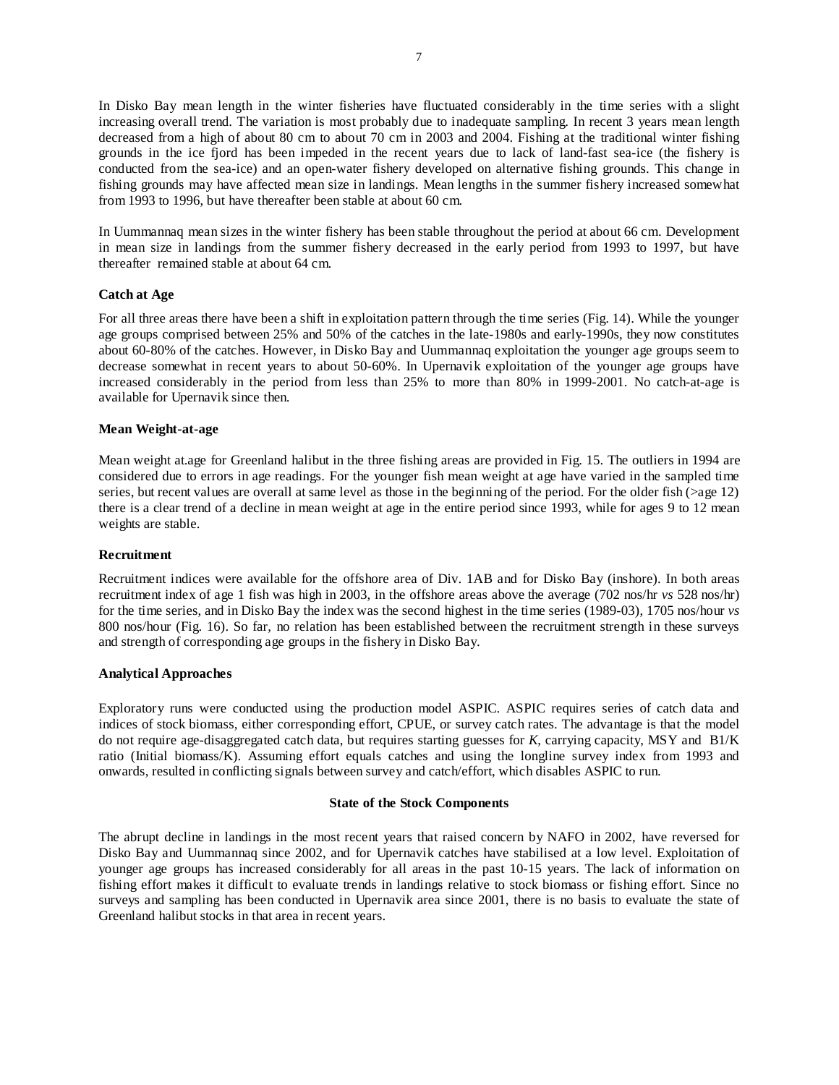In Disko Bay mean length in the winter fisheries have fluctuated considerably in the time series with a slight increasing overall trend. The variation is most probably due to inadequate sampling. In recent 3 years mean length decreased from a high of about 80 cm to about 70 cm in 2003 and 2004. Fishing at the traditional winter fishing grounds in the ice fjord has been impeded in the recent years due to lack of land-fast sea-ice (the fishery is conducted from the sea-ice) and an open-water fishery developed on alternative fishing grounds. This change in fishing grounds may have affected mean size in landings. Mean lengths in the summer fishery increased somewhat from 1993 to 1996, but have thereafter been stable at about 60 cm.

In Uummannaq mean sizes in the winter fishery has been stable throughout the period at about 66 cm. Development in mean size in landings from the summer fishery decreased in the early period from 1993 to 1997, but have thereafter remained stable at about 64 cm.

# **Catch at Age**

For all three areas there have been a shift in exploitation pattern through the time series (Fig. 14). While the younger age groups comprised between 25% and 50% of the catches in the late-1980s and early-1990s, they now constitutes about 60-80% of the catches. However, in Disko Bay and Uummannaq exploitation the younger age groups seem to decrease somewhat in recent years to about 50-60%. In Upernavik exploitation of the younger age groups have increased considerably in the period from less than 25% to more than 80% in 1999-2001. No catch-at-age is available for Upernavik since then.

# **Mean Weight-at-age**

Mean weight at.age for Greenland halibut in the three fishing areas are provided in Fig. 15. The outliers in 1994 are considered due to errors in age readings. For the younger fish mean weight at age have varied in the sampled time series, but recent values are overall at same level as those in the beginning of the period. For the older fish  $(>\alpha$ ge 12) there is a clear trend of a decline in mean weight at age in the entire period since 1993, while for ages 9 to 12 mean weights are stable.

# **Recruitment**

Recruitment indices were available for the offshore area of Div. 1AB and for Disko Bay (inshore). In both areas recruitment index of age 1 fish was high in 2003, in the offshore areas above the average (702 nos/hr *vs* 528 nos/hr) for the time series, and in Disko Bay the index was the second highest in the time series (1989-03), 1705 nos/hour *vs* 800 nos/hour (Fig. 16). So far, no relation has been established between the recruitment strength in these surveys and strength of corresponding age groups in the fishery in Disko Bay.

# **Analytical Approaches**

Exploratory runs were conducted using the production model ASPIC. ASPIC requires series of catch data and indices of stock biomass, either corresponding effort, CPUE, or survey catch rates. The advantage is that the model do not require age-disaggregated catch data, but requires starting guesses for *K*, carrying capacity, MSY and B1/K ratio (Initial biomass/K). Assuming effort equals catches and using the longline survey index from 1993 and onwards, resulted in conflicting signals between survey and catch/effort, which disables ASPIC to run.

# **State of the Stock Components**

The abrupt decline in landings in the most recent years that raised concern by NAFO in 2002, have reversed for Disko Bay and Uummannaq since 2002, and for Upernavik catches have stabilised at a low level. Exploitation of younger age groups has increased considerably for all areas in the past 10-15 years. The lack of information on fishing effort makes it difficult to evaluate trends in landings relative to stock biomass or fishing effort. Since no surveys and sampling has been conducted in Upernavik area since 2001, there is no basis to evaluate the state of Greenland halibut stocks in that area in recent years.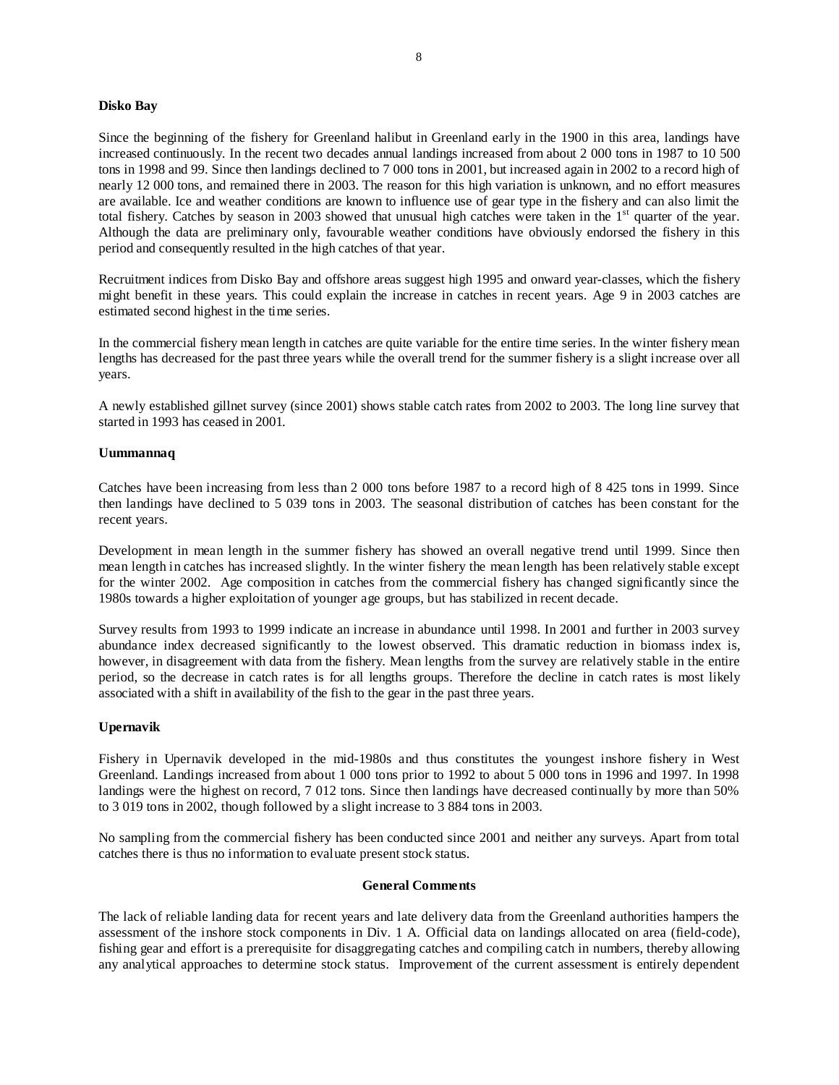## **Disko Bay**

Since the beginning of the fishery for Greenland halibut in Greenland early in the 1900 in this area, landings have increased continuously. In the recent two decades annual landings increased from about 2 000 tons in 1987 to 10 500 tons in 1998 and 99. Since then landings declined to 7 000 tons in 2001, but increased again in 2002 to a record high of nearly 12 000 tons, and remained there in 2003. The reason for this high variation is unknown, and no effort measures are available. Ice and weather conditions are known to influence use of gear type in the fishery and can also limit the total fishery. Catches by season in 2003 showed that unusual high catches were taken in the  $1<sup>st</sup>$  quarter of the year. Although the data are preliminary only, favourable weather conditions have obviously endorsed the fishery in this period and consequently resulted in the high catches of that year.

Recruitment indices from Disko Bay and offshore areas suggest high 1995 and onward year-classes, which the fishery might benefit in these years. This could explain the increase in catches in recent years. Age 9 in 2003 catches are estimated second highest in the time series.

In the commercial fishery mean length in catches are quite variable for the entire time series. In the winter fishery mean lengths has decreased for the past three years while the overall trend for the summer fishery is a slight increase over all years.

A newly established gillnet survey (since 2001) shows stable catch rates from 2002 to 2003. The long line survey that started in 1993 has ceased in 2001.

## **Uummannaq**

Catches have been increasing from less than 2 000 tons before 1987 to a record high of 8 425 tons in 1999. Since then landings have declined to 5 039 tons in 2003. The seasonal distribution of catches has been constant for the recent years.

Development in mean length in the summer fishery has showed an overall negative trend until 1999. Since then mean length in catches has increased slightly. In the winter fishery the mean length has been relatively stable except for the winter 2002. Age composition in catches from the commercial fishery has changed significantly since the 1980s towards a higher exploitation of younger age groups, but has stabilized in recent decade.

Survey results from 1993 to 1999 indicate an increase in abundance until 1998. In 2001 and further in 2003 survey abundance index decreased significantly to the lowest observed. This dramatic reduction in biomass index is, however, in disagreement with data from the fishery. Mean lengths from the survey are relatively stable in the entire period, so the decrease in catch rates is for all lengths groups. Therefore the decline in catch rates is most likely associated with a shift in availability of the fish to the gear in the past three years.

# **Upernavik**

Fishery in Upernavik developed in the mid-1980s and thus constitutes the youngest inshore fishery in West Greenland. Landings increased from about 1 000 tons prior to 1992 to about 5 000 tons in 1996 and 1997. In 1998 landings were the highest on record, 7 012 tons. Since then landings have decreased continually by more than 50% to 3 019 tons in 2002, though followed by a slight increase to 3 884 tons in 2003.

No sampling from the commercial fishery has been conducted since 2001 and neither any surveys. Apart from total catches there is thus no information to evaluate present stock status.

### **General Comments**

The lack of reliable landing data for recent years and late delivery data from the Greenland authorities hampers the assessment of the inshore stock components in Div. 1 A. Official data on landings allocated on area (field-code), fishing gear and effort is a prerequisite for disaggregating catches and compiling catch in numbers, thereby allowing any analytical approaches to determine stock status. Improvement of the current assessment is entirely dependent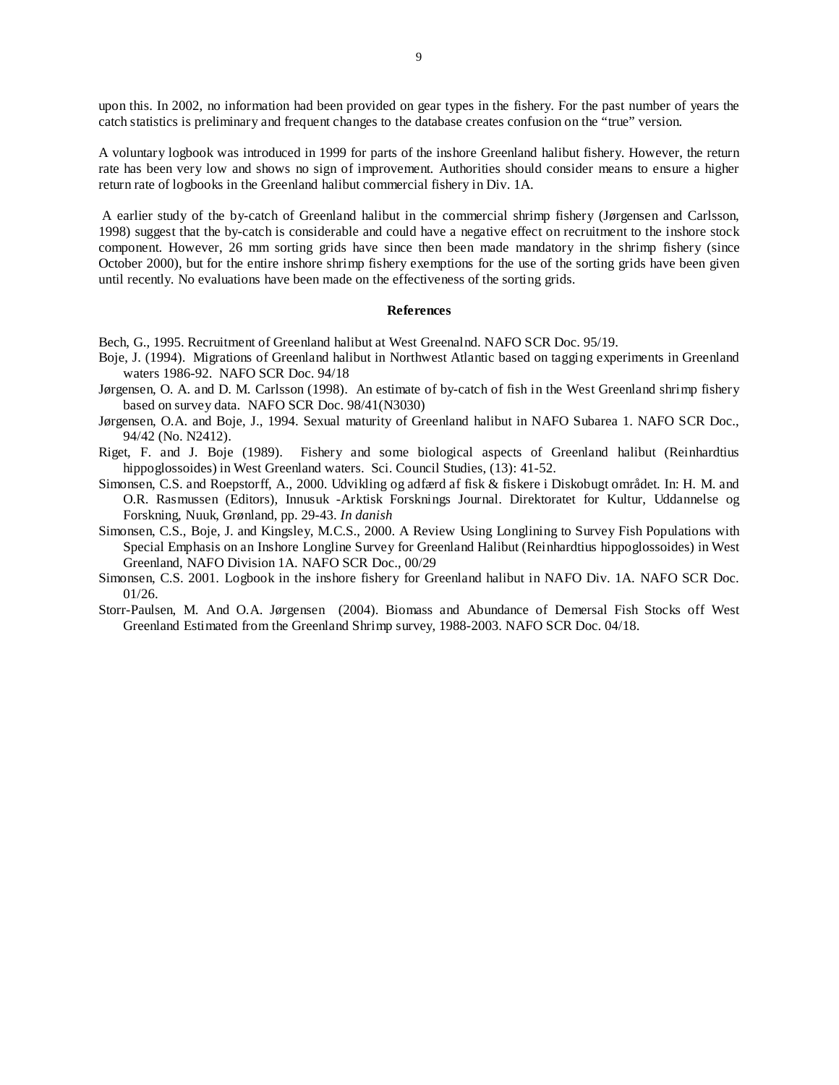upon this. In 2002, no information had been provided on gear types in the fishery. For the past number of years the catch statistics is preliminary and frequent changes to the database creates confusion on the "true" version.

A voluntary logbook was introduced in 1999 for parts of the inshore Greenland halibut fishery. However, the return rate has been very low and shows no sign of improvement. Authorities should consider means to ensure a higher return rate of logbooks in the Greenland halibut commercial fishery in Div. 1A.

 A earlier study of the by-catch of Greenland halibut in the commercial shrimp fishery (Jørgensen and Carlsson, 1998) suggest that the by-catch is considerable and could have a negative effect on recruitment to the inshore stock component. However, 26 mm sorting grids have since then been made mandatory in the shrimp fishery (since October 2000), but for the entire inshore shrimp fishery exemptions for the use of the sorting grids have been given until recently. No evaluations have been made on the effectiveness of the sorting grids.

#### **References**

Bech, G., 1995. Recruitment of Greenland halibut at West Greenalnd. NAFO SCR Doc. 95/19.

- Boje, J. (1994). Migrations of Greenland halibut in Northwest Atlantic based on tagging experiments in Greenland waters 1986-92. NAFO SCR Doc. 94/18
- Jørgensen, O. A. and D. M. Carlsson (1998). An estimate of by-catch of fish in the West Greenland shrimp fishery based on survey data. NAFO SCR Doc. 98/41(N3030)
- Jørgensen, O.A. and Boje, J., 1994. Sexual maturity of Greenland halibut in NAFO Subarea 1. NAFO SCR Doc., 94/42 (No. N2412).
- Riget, F. and J. Boje (1989). Fishery and some biological aspects of Greenland halibut (Reinhardtius hippoglossoides) in West Greenland waters. Sci. Council Studies, (13): 41-52.
- Simonsen, C.S. and Roepstorff, A., 2000. Udvikling og adfærd af fisk & fiskere i Diskobugt området. In: H. M. and O.R. Rasmussen (Editors), Innusuk -Arktisk Forsknings Journal. Direktoratet for Kultur, Uddannelse og Forskning, Nuuk, Grønland, pp. 29-43. *In danish*
- Simonsen, C.S., Boje, J. and Kingsley, M.C.S., 2000. A Review Using Longlining to Survey Fish Populations with Special Emphasis on an Inshore Longline Survey for Greenland Halibut (Reinhardtius hippoglossoides) in West Greenland, NAFO Division 1A. NAFO SCR Doc., 00/29
- Simonsen, C.S. 2001. Logbook in the inshore fishery for Greenland halibut in NAFO Div. 1A. NAFO SCR Doc. 01/26.
- Storr-Paulsen, M. And O.A. Jørgensen (2004). Biomass and Abundance of Demersal Fish Stocks off West Greenland Estimated from the Greenland Shrimp survey, 1988-2003. NAFO SCR Doc. 04/18.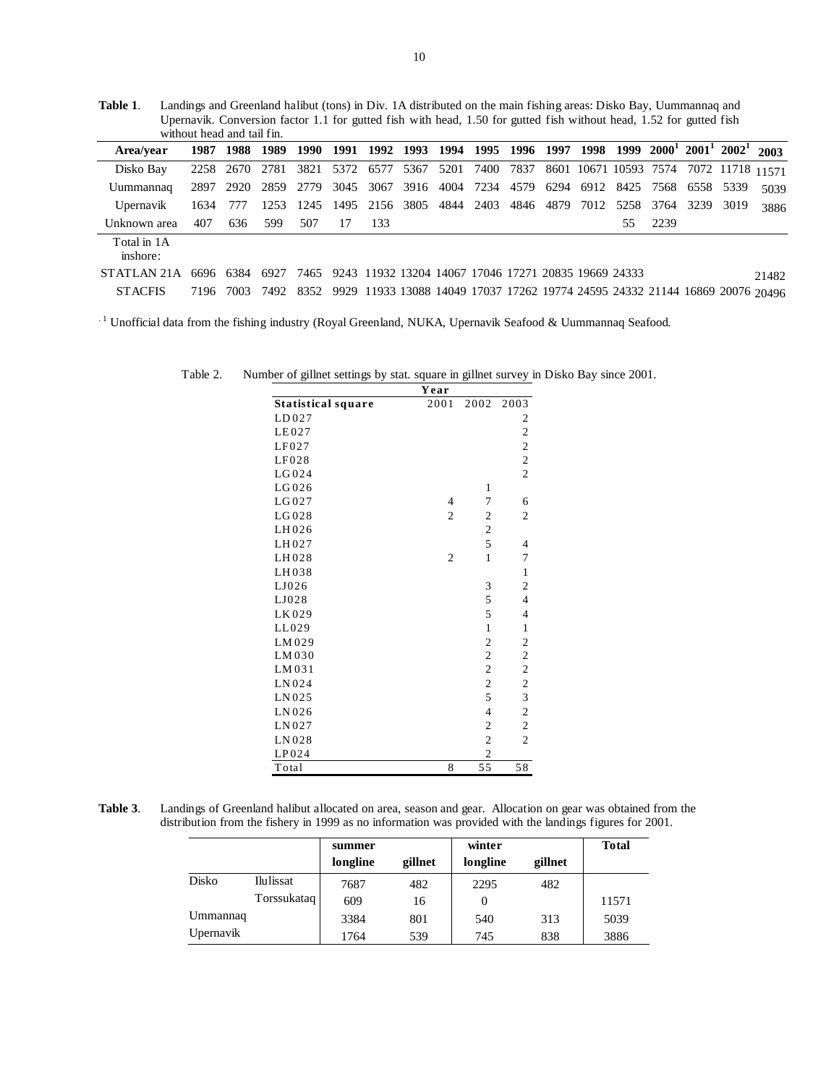**Table 1**. Landings and Greenland halibut (tons) in Div. 1A distributed on the main fishing areas: Disko Bay, Uummannaq and Upernavik. Conversion factor 1.1 for gutted fish with head, 1.50 for gutted fish without head, 1.52 for gutted fish without head and tail fin.

| Area/vear                                                                            |          |     |     |     |     |      |  | 1987 1988 1989 1990 1991 1992 1993 1994 1995 1996 1997 1998 1999 2000 <sup>1</sup> 2001 <sup>1</sup> 2002 <sup>1</sup> 2003 |  |     |      |  |       |
|--------------------------------------------------------------------------------------|----------|-----|-----|-----|-----|------|--|-----------------------------------------------------------------------------------------------------------------------------|--|-----|------|--|-------|
| Disko Bay                                                                            |          |     |     |     |     |      |  | 2258 2670 2781 3821 5372 6577 5367 5201 7400 7837 8601 10671 10593 7574 7072 11718 11571                                    |  |     |      |  |       |
| Uummannaq                                                                            |          |     |     |     |     |      |  | 2897 2920 2859 2779 3045 3067 3916 4004 7234 4579 6294 6912 8425 7568 6558 5339                                             |  |     |      |  | 5039  |
| Upernavik                                                                            | 1634 777 |     |     |     |     |      |  | 1253 1245 1495 2156 3805 4844 2403 4846 4879 7012 5258 3764 3239 3019                                                       |  |     |      |  | 3886  |
| Unknown area                                                                         | 407      | 636 | 599 | 507 | -17 | -133 |  |                                                                                                                             |  | 55. | 2239 |  |       |
| Total in 1A<br>inshore:                                                              |          |     |     |     |     |      |  |                                                                                                                             |  |     |      |  |       |
| STATLAN 21A 6696 6384 6927 7465 9243 11932 13204 14067 17046 17271 20835 19669 24333 |          |     |     |     |     |      |  |                                                                                                                             |  |     |      |  | 21482 |
| <b>STACFIS</b>                                                                       |          |     |     |     |     |      |  | 7196 7003 7492 8352 9929 11933 13088 14049 17037 17262 19774 24595 24332 21144 16869 20076 20496                            |  |     |      |  |       |

<sup>1</sup> Unofficial data from the fishing industry (Royal Greenland, NUKA, Upernavik Seafood & Uummannaq Seafood.

Table 2. Number of gillnet settings by stat. square in gillnet survey in Disko Bay since 2001.

|                           | Year           |                 |                         |
|---------------------------|----------------|-----------------|-------------------------|
| <b>Statistical square</b> | 2001           | 2002            | 2003                    |
| LD027                     |                |                 | 2                       |
| LE027                     |                |                 | $\overline{\mathbf{c}}$ |
| LF027                     |                |                 | $\overline{c}$          |
| LF028                     |                |                 | $\overline{c}$          |
| LG024                     |                |                 | $\overline{c}$          |
| LG026                     |                | 1               |                         |
| LG027                     | $\overline{4}$ | $\overline{7}$  | 6                       |
| LG028                     | $\overline{2}$ | $\overline{c}$  | $\overline{2}$          |
| LH026                     |                | $\mathfrak{2}$  |                         |
| LH027                     |                | 5               | 4                       |
| LH028                     | $\overline{2}$ | $\mathbf{1}$    | 7                       |
| LH038                     |                |                 | 1                       |
| LJ026                     |                | 3               | $\mathfrak{2}$          |
| LJ028                     |                | 5               | $\overline{\mathbf{4}}$ |
| LK029                     |                | 5               | 4                       |
| LL029                     |                | $\mathbf{1}$    | $\mathbf{1}$            |
| LM029                     |                | $\overline{c}$  | $\mathfrak{2}$          |
| LM030                     |                | $\overline{c}$  | $\overline{c}$          |
| LM031                     |                | $\overline{c}$  | $\overline{c}$          |
| LN024                     |                | $\mathfrak{2}$  | $\overline{c}$          |
| LN025                     |                | 5               | $\overline{\mathbf{3}}$ |
| LN026                     |                | $\overline{4}$  | $\overline{c}$          |
| LN027                     |                | $\overline{c}$  | $\overline{c}$          |
| LN028                     |                | $\overline{c}$  | $\overline{2}$          |
| LP024                     |                | $\overline{2}$  |                         |
| Total                     | 8              | $\overline{55}$ | 58                      |

**Table 3**. Landings of Greenland halibut allocated on area, season and gear. Allocation on gear was obtained from the distribution from the fishery in 1999 as no information was provided with the landings figures for 2001.

|           |             | summer   |         | winter   |         | <b>Total</b> |
|-----------|-------------|----------|---------|----------|---------|--------------|
|           |             | longline | gillnet | longline | gillnet |              |
| Disko     | Ilulissat   | 7687     | 482     | 2295     | 482     |              |
|           | Torssukataq | 609      | 16      |          |         | 11571        |
| Ummannaq  |             | 3384     | 801     | 540      | 313     | 5039         |
| Upernavik |             | 1764     | 539     | 745      | 838     | 3886         |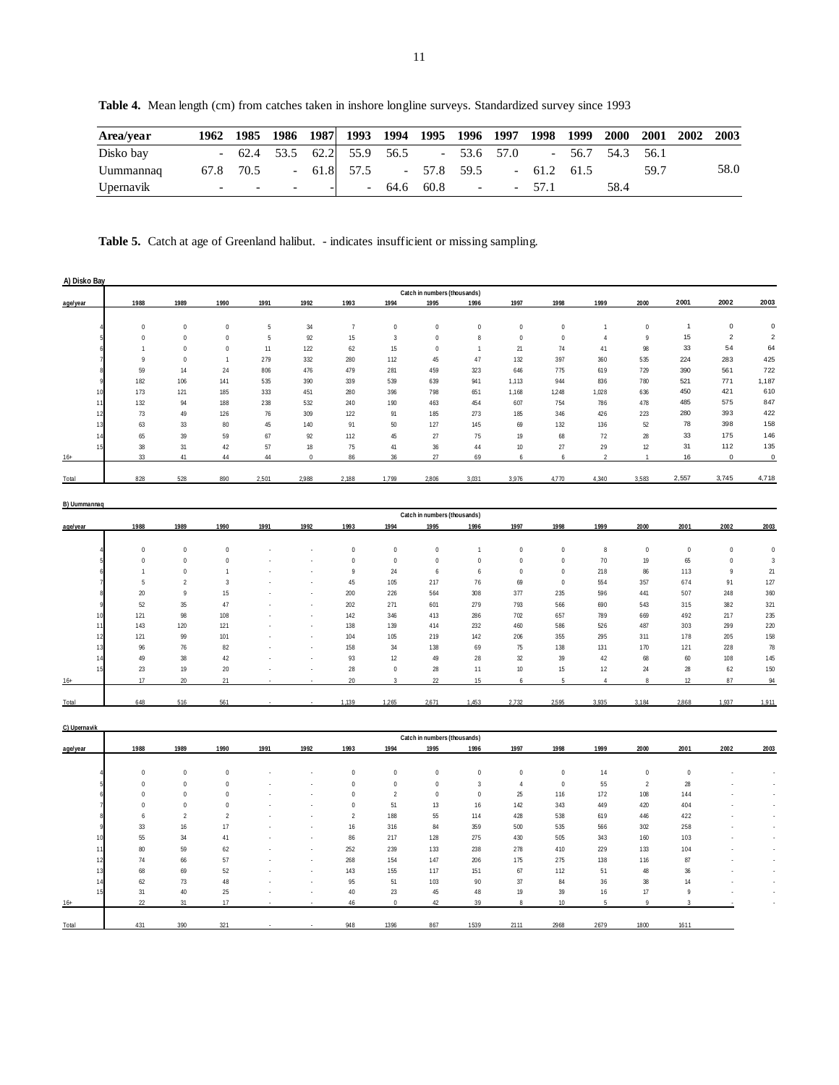Uummannaq 67.8 70.5 - 61.8 57.5 - 57.8 59.5 - 61.2 61.5 59.7 58.0

**Table 4.** Mean length (cm) from catches taken in inshore longline surveys. Standardized survey since 1993

Upernavik - - - - - - 64.6 60.8 - - 57.1 58.4

| A) Disko Bay |             |                 |                  |                  |            |         |                   |                  |                                      |                |                  |                  |                          |                |                         |             |                          |
|--------------|-------------|-----------------|------------------|------------------|------------|---------|-------------------|------------------|--------------------------------------|----------------|------------------|------------------|--------------------------|----------------|-------------------------|-------------|--------------------------|
|              |             | 1988            | 1989             | 1990             | 1991       | 1992    | 1993              | 1994             | Catch in numbers (thousands)<br>1995 | 1996           | 1997             | 1998             | 1999                     | 2000           | 2001                    | 2002        | 2003                     |
| age/year     |             |                 |                  |                  |            |         |                   |                  |                                      |                |                  |                  |                          |                |                         |             |                          |
|              |             | $\,0\,$         | $\mathbb O$      | $\boldsymbol{0}$ | $\sqrt{5}$ | 34      | $\boldsymbol{7}$  | $\bf 0$          | $\,0\,$                              | $\mathbb O$    | $\boldsymbol{0}$ | $\,0\,$          | $\overline{1}$           | $\mathbb O$    | $\mathbf{1}$            | $\mathbf 0$ | $\mathbf 0$              |
|              |             | $\overline{0}$  | $\pmb{0}$        | $\mathbf 0$      | 5          | 92      | 15                | $\overline{3}$   | $\,0\,$                              | 8              | $\,0\,$          | $\boldsymbol{0}$ | $\overline{4}$           | 9              | 15                      | $\sqrt{2}$  | $\sqrt{2}$               |
|              |             | $\overline{1}$  | $\pmb{0}$        | $\boldsymbol{0}$ | 11         | 122     | 62                | 15               | $\,0\,$                              | $\mathbf{1}$   | $21\,$           | 74               | 41                       | 98             | 33                      | 54          | 64                       |
|              |             | $\overline{9}$  | $\mathbb O$      | 1                | 279        | 332     | 280               | 112              | 45                                   | 47             | 132              | 397              | 360                      | 535            | 224                     | 283         | 425                      |
|              |             | 59              | 14               | 24               | 806        | 476     | 479               | 281              | 459                                  | 323            | 646              | 775              | 619                      | 729            | 390                     | 561         | 722                      |
|              |             | 182             | 106              | 141              | 535        | 390     | 339               | 539              | 639                                  | 941            | 1,113            | 944              | 836                      | 780            | 521                     | 771         | 1,187                    |
|              |             | 173             | 121              | 185              | 333        | 451     | 280               | 396              | 798                                  | 651            | 1,168            | 1,248            | 1,028                    | 636            | 450                     | 421         | 610                      |
|              | $1^{\circ}$ | 132             | 94               | 188              | 238        | 532     | 240               | 190              | 463                                  | 454            | 607              | 754              | 786                      | 478            | 485                     | 575         | 847                      |
|              | 12          | 73              | 49               | 126              | 76         | 309     | 122               | 91               | 185                                  | 273            | 185              | 346              | 426                      | 223            | 280                     | 393         | 422                      |
|              | 13          | 63              | 33               | 80               | 45         | 140     | 91                | 50               | 127                                  | 145            | 69               | 132              | 136                      | 52             | 78                      | 398         | 158                      |
|              | 14          | 65              | 39               | 59               | 67         | 92      | 112               | 45               | 27                                   | 75             | 19               | 68               | $72\,$                   | 28             | 33                      | 175         | 146                      |
|              | 15          | 38              | 31               | 42               | 57         | 18      | $75\,$            | 41               | $36\,$                               | 44             | 10 <sup>10</sup> | 27               | 29                       | 12             | 31                      | 112         | 135                      |
| $16+$        |             | 33              | 41               | 44               | 44         | $\,0\,$ | 86                | 36               | $27\,$                               | 69             | 6                | 6                | $\overline{\phantom{a}}$ | $\mathbf{1}$   | 16                      | $\mathsf 0$ | $\pmb{0}$                |
| Total        |             | 828             | 528              | 890              | 2,501      | 2,988   | 2,188             | 1,799            | 2,806                                | 3,031          | 3,976            | 4,770            | 4,340                    | 3,583          | 2,557                   | 3,745       | 4,718                    |
| B) Uummannaq |             |                 |                  |                  |            |         |                   |                  | Catch in numbers (thousands)         |                |                  |                  |                          |                |                         |             |                          |
| age/year     |             | 1988            | 1989             | 1990             | 1991       | 1992    | 1993              | 1994             | 1995                                 | 1996           | 1997             | 1998             | 1999                     | 2000           | 2001                    | 2002        | 2003                     |
|              |             |                 |                  |                  |            |         |                   |                  |                                      |                |                  |                  |                          |                |                         |             |                          |
|              |             | $\,0\,$         | $\mathbb O$      | $\boldsymbol{0}$ |            |         | $\,0\,$           | $\boldsymbol{0}$ | $\,0\,$                              | $\overline{1}$ | $\,0\,$          | $\,0\,$          | $\, 8$                   | $\,0\,$        | $\,0\,$                 | $\bf 0$     | $\,0\,$                  |
|              |             | $\,0\,$         | $\pmb{0}$        | $\mathbf 0$      |            |         | $\bf 0$           | $\,0\,$          | $\,0\,$                              | $\bf 0$        | $\,0\,$          | $\mathbf 0$      | 70                       | 19             | 65                      | $\mathbf 0$ | $\overline{3}$           |
|              |             | $\overline{1}$  | $\mathbb O$      | 1                |            |         | $\overline{9}$    | 24               | 6                                    | $\it{6}$       | $\,0\,$          | $\,0\,$          | 218                      | 86             | 113                     | 9           | 21                       |
|              |             | 5               | $\sqrt{2}$       | 3                |            |         | $45\,$            | 105              | 217                                  | 76             | 69               | $\,0\,$          | 554                      | 357            | 674                     | 91          | 127                      |
|              |             | 20              | $\overline{9}$   | 15               |            |         | 200               | 226              | 564                                  | 308            | 377              | 235              | 596                      | 441            | 507                     | 248         | 360                      |
|              |             | 52              | 35               | 47               |            |         | 202               | 271              | 601                                  | 279            | 793              | 566              | 690                      | 543            | 315                     | 382         | 321                      |
|              |             | 121             | 98               | 108              |            |         | 142               | 346              | 413                                  | 286            | 702              | 657              | 789                      | 669            | 492                     | 217         | 235                      |
|              | $1^{\circ}$ | 143             | 120              | 121              |            |         | 138               | 139              | 414                                  | 232            | 460              | 586              | 526                      | 487            | 303                     | 299         | 220                      |
|              | 12<br>13    | 121             | 99               | 101<br>82        |            |         | 104<br>158        | 105<br>34        | 219<br>138                           | 142<br>69      | 206<br>75        | 355<br>138       | 295<br>131               | 311<br>170     | 178                     | 205<br>228  | 158<br>78                |
|              | 14          | 96              | $76\,$<br>$38\,$ |                  |            |         |                   | 12               | $49\,$                               | 28             | $32\,$           | 39               | 42                       | 68             | 121<br>$60\,$           | 108         | 145                      |
|              | 15          | 49<br>23        | 19               | 42<br>$20\,$     |            | J.      | 93<br>$2\sqrt{8}$ | $\mathbf 0$      | $28\,$                               | 11             | 10               | 15               | 12                       | 24             | $28\,$                  | 62          | 150                      |
| $16+$        |             | 17              | $20\,$           | 21               |            |         | $20\,$            | $\overline{3}$   | $22\,$                               | 15             | 6                | 5                | $\overline{4}$           | $\, 8$         | 12                      | 87          | 94                       |
|              |             |                 |                  |                  |            |         |                   |                  |                                      |                |                  |                  |                          |                |                         |             |                          |
| Total        |             | 648             | 516              | 561              |            |         | 1,139             | 1,265            | 2,671                                | 1,453          | 2,732            | 2,595            | 3,935                    | 3,184          | 2,868                   | 1,937       | 1,911                    |
| C) Upernavik |             |                 |                  |                  |            |         |                   |                  | Catch in numbers (thousands)         |                |                  |                  |                          |                |                         |             |                          |
| age/year     |             | 1988            | 1989             | 1990             | 1991       | 1992    | 1993              | 1994             | 1995                                 | 1996           | 1997             | 1998             | 1999                     | 2000           | 2001                    | 2002        | 2003                     |
|              |             |                 |                  |                  |            |         |                   |                  |                                      |                |                  |                  |                          |                |                         |             |                          |
|              |             | $\,0\,$         | $\pmb{0}$        | $\,0\,$          |            |         | $\mathbb O$       | $\,0\,$          | $\,0\,$                              | $\,0\,$        | $\,0\,$          | $\,0\,$          | 14                       | $\bf 0$        | $\mathbf 0$             |             | $\overline{\phantom{a}}$ |
|              |             | $\overline{0}$  | $\mathbb O$      | $\,0\,$          |            |         | $\bf 0$           | $\,0\,$          | $\,0\,$                              | $\sqrt{3}$     | $\overline{4}$   | $\,0\,$          | 55                       | $\sqrt{2}$     | 28                      |             | ×                        |
|              |             | $\overline{0}$  | $\pmb{0}$        | $\bf 0$          |            |         | $\bf 0$           | $\overline{2}$   | $\,0\,$                              | $\,0\,$        | 25               | 116              | 172                      | 108            | 144                     |             | à,                       |
|              |             | $\,0\,$         | $\mathbb O$      | $\mathbf 0$      |            |         | $\bf 0$           | 51               | 13                                   | 16             | 142              | 343              | 449                      | 420            | 404                     |             | $\overline{\phantom{a}}$ |
|              |             | 6               | $\sqrt{2}$       | $\sqrt{2}$       |            |         | $\overline{2}$    | 188              | 55                                   | 114            | 428              | 538              | 619                      | 446            | 422                     |             | à,                       |
|              |             | 33              | 16               | 17               |            |         | 16                | 316              | 84                                   | 359            | 500              | 535              | 566                      | 302            | 258                     |             | à,                       |
|              |             | 55              | 34               | 41               |            |         | 86                | 217              | 128                                  | 275            | 430              | 505              | 343                      | 160            | 103                     |             | à,                       |
|              | 11          | 80              | 59               | 62               |            |         | 252               | 239              | 133                                  | 238            | 278              | 410              | 229                      | 133            | 104                     |             | $\bar{\phantom{a}}$      |
|              | 12          | 74              | 66               | 57               |            |         | 268               | 154              | 147                                  | 206            | 175              | 275              | 138                      | 116            | 87                      |             | $\bar{\phantom{a}}$      |
|              | 13          | 68              | $69\,$           | 52               |            |         | 143               | 155<br>51        | 117                                  | 151            | 67               | 112              | 51<br>36                 | 48<br>38       | 36                      |             | $\bar{\phantom{a}}$      |
|              | 14<br>15    | 62<br>31        | $73\,$<br>$40$   | $48\,$<br>25     |            |         | 95<br>40          | 23               | 103<br>45                            | 90<br>48       | 37<br>19         | 84<br>39         | 16                       | 17             | 14<br>$\overline{9}$    |             | $\sim$<br>à.             |
| $16+$        |             | $\overline{22}$ | 31               | 17               |            |         | 46                | $\mathbf{0}$     | 42                                   | 39             | 8                | 10               | $5\phantom{.0}$          | $\overline{9}$ | $\overline{\mathbf{z}}$ |             |                          |
|              |             |                 |                  |                  |            |         |                   |                  |                                      |                |                  |                  |                          |                |                         |             |                          |
| Total        |             | 431             | 390              | 321              |            |         | 948               | 1396             | 867                                  | 1539           | 2111             | 2968             | 2679                     | 1800           | 1611                    |             |                          |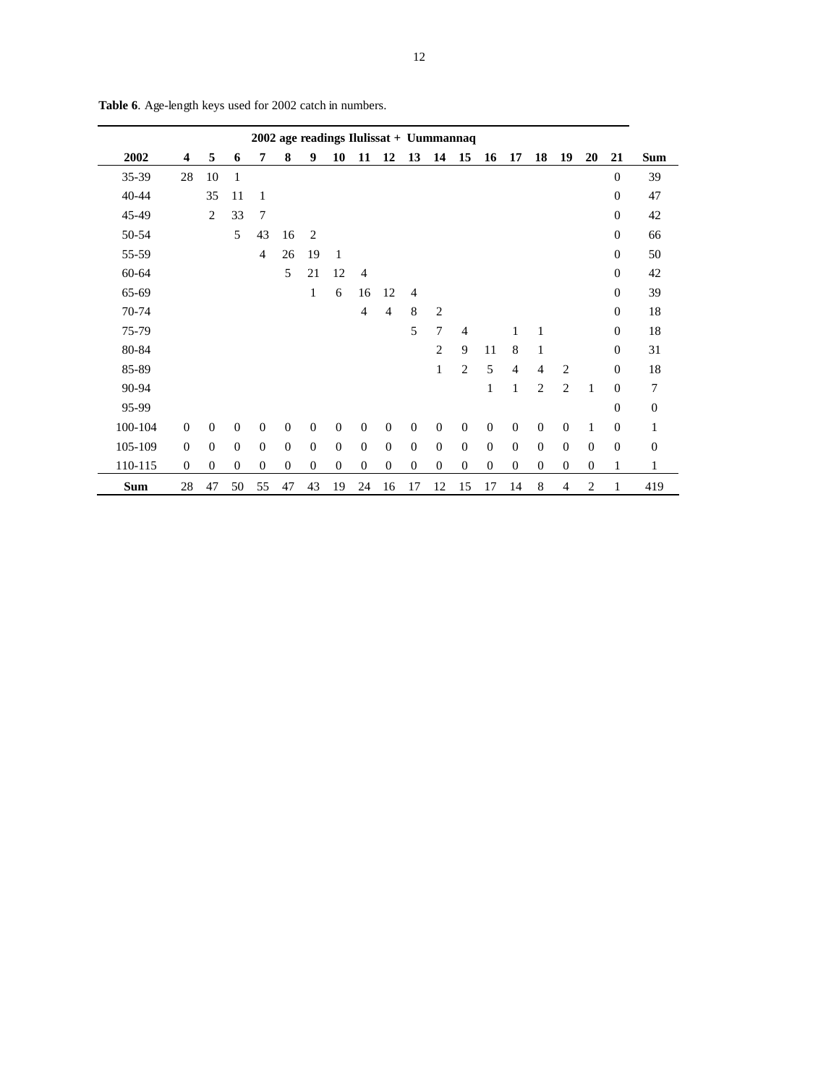|            |                         |              |                  |                | 2002 age readings Ilulissat + Uummannaq |                  |              |                  |                |              |                |                  |              |                |                  |                |                |                  |                  |
|------------|-------------------------|--------------|------------------|----------------|-----------------------------------------|------------------|--------------|------------------|----------------|--------------|----------------|------------------|--------------|----------------|------------------|----------------|----------------|------------------|------------------|
| 2002       | $\overline{\mathbf{4}}$ | 5            | 6                | 7              | 8                                       | 9                | 10           | 11               | 12             | 13           | 14             | 15               | 16           | 17             | 18               | 19             | 20             | 21               | <b>Sum</b>       |
| 35-39      | 28                      | 10           | 1                |                |                                         |                  |              |                  |                |              |                |                  |              |                |                  |                |                | $\overline{0}$   | 39               |
| 40-44      |                         | 35           | 11               | 1              |                                         |                  |              |                  |                |              |                |                  |              |                |                  |                |                | $\overline{0}$   | 47               |
| 45-49      |                         | 2            | 33               | 7              |                                         |                  |              |                  |                |              |                |                  |              |                |                  |                |                | $\overline{0}$   | 42               |
| 50-54      |                         |              | 5                | 43             | 16                                      | 2                |              |                  |                |              |                |                  |              |                |                  |                |                | $\overline{0}$   | 66               |
| 55-59      |                         |              |                  | 4              | 26                                      | 19               | $\mathbf{1}$ |                  |                |              |                |                  |              |                |                  |                |                | $\overline{0}$   | 50               |
| 60-64      |                         |              |                  |                | 5                                       | 21               | 12           | $\overline{4}$   |                |              |                |                  |              |                |                  |                |                | $\overline{0}$   | 42               |
| 65-69      |                         |              |                  |                |                                         | $\mathbf{1}$     | 6            | 16               | 12             | 4            |                |                  |              |                |                  |                |                | $\boldsymbol{0}$ | 39               |
| 70-74      |                         |              |                  |                |                                         |                  |              | $\overline{4}$   | $\overline{4}$ | 8            | $\overline{2}$ |                  |              |                |                  |                |                | $\overline{0}$   | 18               |
| 75-79      |                         |              |                  |                |                                         |                  |              |                  |                | 5            | 7              | $\overline{4}$   |              | 1              | 1                |                |                | $\overline{0}$   | 18               |
| 80-84      |                         |              |                  |                |                                         |                  |              |                  |                |              | $\overline{2}$ | 9                | 11           | 8              | $\mathbf{1}$     |                |                | $\mathbf{0}$     | 31               |
| 85-89      |                         |              |                  |                |                                         |                  |              |                  |                |              | $\mathbf{1}$   | $\overline{2}$   | 5            | $\overline{4}$ | $\overline{4}$   | $\overline{2}$ |                | $\mathbf{0}$     | 18               |
| 90-94      |                         |              |                  |                |                                         |                  |              |                  |                |              |                |                  | 1            | 1              | 2                | $\overline{2}$ | $\mathbf{1}$   | $\overline{0}$   | 7                |
| 95-99      |                         |              |                  |                |                                         |                  |              |                  |                |              |                |                  |              |                |                  |                |                | $\mathbf{0}$     | $\boldsymbol{0}$ |
| 100-104    | $\mathbf{0}$            | $\theta$     | $\overline{0}$   | $\overline{0}$ | $\overline{0}$                          | $\overline{0}$   | $\mathbf{0}$ | $\theta$         | $\theta$       | $\mathbf{0}$ | $\mathbf{0}$   | $\mathbf{0}$     | $\theta$     | $\overline{0}$ | $\mathbf{0}$     | $\theta$       | $\mathbf{1}$   | $\mathbf{0}$     | 1                |
| 105-109    | $\Omega$                | $\theta$     | $\theta$         | $\theta$       | $\overline{0}$                          | $\mathbf{0}$     | $\mathbf{0}$ | $\mathbf{0}$     | $\mathbf{0}$   | $\mathbf{0}$ | $\mathbf{0}$   | $\mathbf{0}$     | $\mathbf{0}$ | $\overline{0}$ | $\overline{0}$   | $\theta$       | $\mathbf{0}$   | $\boldsymbol{0}$ | $\mathbf{0}$     |
| 110-115    | $\mathbf{0}$            | $\mathbf{0}$ | $\boldsymbol{0}$ | $\mathbf{0}$   | $\mathbf{0}$                            | $\boldsymbol{0}$ | $\mathbf{0}$ | $\boldsymbol{0}$ | $\mathbf{0}$   | $\mathbf{0}$ | $\mathbf{0}$   | $\boldsymbol{0}$ | $\mathbf{0}$ | $\mathbf{0}$   | $\boldsymbol{0}$ | $\mathbf{0}$   | $\mathbf{0}$   | $\mathbf{1}$     | 1                |
| <b>Sum</b> | 28                      | 47           | 50               | 55             | 47                                      | 43               | 19           | 24               | 16             | 17           | 12             | 15               | 17           | 14             | 8                | 4              | $\overline{2}$ | 1                | 419              |

**Table 6**. Age-length keys used for 2002 catch in numbers.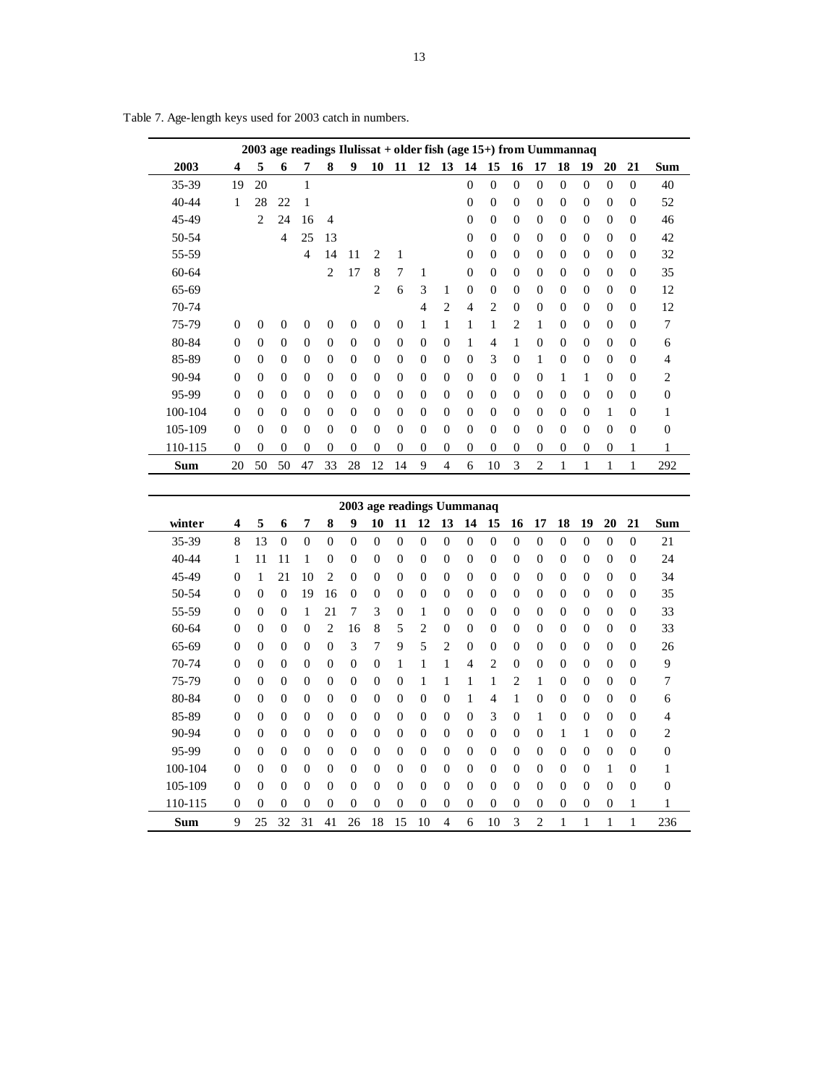|         |                            |                  |                  |                  |                  |                  |                  |                  |                          |                  |                  |                  |                  |                  | 2003 age readings Ilulissat + older fish (age 15+) from Uummannaq |                  |                  |                  |                  |
|---------|----------------------------|------------------|------------------|------------------|------------------|------------------|------------------|------------------|--------------------------|------------------|------------------|------------------|------------------|------------------|-------------------------------------------------------------------|------------------|------------------|------------------|------------------|
| 2003    | 4                          | 5                | 6                | 7                | 8                | 9                | 10               | 11               | 12                       | 13               | 14               | 15               | 16               | 17               | 18                                                                | 19               | 20               | 21               | Sum              |
| 35-39   | 19                         | 20               |                  | $\mathbf{1}$     |                  |                  |                  |                  |                          |                  | $\overline{0}$   | $\boldsymbol{0}$ | $\boldsymbol{0}$ | $\overline{0}$   | $\boldsymbol{0}$                                                  | $\boldsymbol{0}$ | $\boldsymbol{0}$ | $\boldsymbol{0}$ | 40               |
| 40-44   | 1                          | 28               | 22               | $\mathbf{1}$     |                  |                  |                  |                  |                          |                  | $\boldsymbol{0}$ | $\boldsymbol{0}$ | $\boldsymbol{0}$ | $\boldsymbol{0}$ | $\boldsymbol{0}$                                                  | $\boldsymbol{0}$ | $\boldsymbol{0}$ | $\boldsymbol{0}$ | 52               |
| 45-49   |                            | $\overline{2}$   | 24               | 16               | $\overline{4}$   |                  |                  |                  |                          |                  | $\mathbf{0}$     | $\mathbf{0}$     | $\mathbf{0}$     | $\boldsymbol{0}$ | $\overline{0}$                                                    | $\mathbf{0}$     | $\mathbf{0}$     | $\overline{0}$   | 46               |
| 50-54   |                            |                  | $\overline{4}$   | 25               | 13               |                  |                  |                  |                          |                  | $\overline{0}$   | $\mathbf{0}$     | $\mathbf{0}$     | $\boldsymbol{0}$ | $\overline{0}$                                                    | $\boldsymbol{0}$ | $\mathbf{0}$     | $\overline{0}$   | 42               |
| 55-59   |                            |                  |                  | $\overline{4}$   | 14               | 11               | 2                | 1                |                          |                  | $\boldsymbol{0}$ | $\mathbf{0}$     | $\boldsymbol{0}$ | $\boldsymbol{0}$ | $\boldsymbol{0}$                                                  | $\boldsymbol{0}$ | $\mathbf{0}$     | $\boldsymbol{0}$ | 32               |
| 60-64   |                            |                  |                  |                  | 2                | 17               | 8                | 7                | 1                        |                  | $\boldsymbol{0}$ | $\boldsymbol{0}$ | $\boldsymbol{0}$ | $\boldsymbol{0}$ | $\boldsymbol{0}$                                                  | $\boldsymbol{0}$ | $\boldsymbol{0}$ | $\boldsymbol{0}$ | 35               |
| 65-69   |                            |                  |                  |                  |                  |                  | 2                | 6                | 3                        | 1                | $\boldsymbol{0}$ | $\boldsymbol{0}$ | $\boldsymbol{0}$ | $\boldsymbol{0}$ | 0                                                                 | $\boldsymbol{0}$ | 0                | $\boldsymbol{0}$ | 12               |
| 70-74   |                            |                  |                  |                  |                  |                  |                  |                  | $\overline{\mathcal{L}}$ | 2                | 4                | 2                | $\boldsymbol{0}$ | $\boldsymbol{0}$ | 0                                                                 | 0                | 0                | $\boldsymbol{0}$ | 12               |
| 75-79   | $\boldsymbol{0}$           | $\boldsymbol{0}$ | $\boldsymbol{0}$ | $\boldsymbol{0}$ | $\overline{0}$   | $\mathbf{0}$     | $\boldsymbol{0}$ | $\boldsymbol{0}$ | $\mathbf{1}$             | 1                | 1                | $\mathbf{1}$     | $\overline{2}$   | $\mathbf{1}$     | $\overline{0}$                                                    | $\mathbf{0}$     | $\mathbf{0}$     | $\mathbf{0}$     | 7                |
| 80-84   | $\boldsymbol{0}$           | $\boldsymbol{0}$ | $\boldsymbol{0}$ | $\boldsymbol{0}$ | $\overline{0}$   | $\boldsymbol{0}$ | $\overline{0}$   | $\boldsymbol{0}$ | $\boldsymbol{0}$         | $\overline{0}$   | 1                | $\overline{4}$   | $\mathbf{1}$     | $\boldsymbol{0}$ | $\overline{0}$                                                    | $\overline{0}$   | $\mathbf{0}$     | $\boldsymbol{0}$ | 6                |
| 85-89   | $\boldsymbol{0}$           | $\mathbf{0}$     | $\boldsymbol{0}$ | $\boldsymbol{0}$ | $\mathbf{0}$     | $\boldsymbol{0}$ | $\overline{0}$   | 0                | $\boldsymbol{0}$         | $\overline{0}$   | $\mathbf{0}$     | 3                | $\mathbf{0}$     | $\mathbf{1}$     | $\overline{0}$                                                    | $\mathbf{0}$     | $\mathbf{0}$     | $\boldsymbol{0}$ | 4                |
| 90-94   | $\boldsymbol{0}$           | $\mathbf{0}$     | $\boldsymbol{0}$ | 0                | $\mathbf{0}$     | $\boldsymbol{0}$ | 0                | $\boldsymbol{0}$ | 0                        | 0                | $\boldsymbol{0}$ | $\mathbf{0}$     | $\boldsymbol{0}$ | $\boldsymbol{0}$ | 1                                                                 | 1                | $\mathbf{0}$     | $\boldsymbol{0}$ | 2                |
| 95-99   | $\boldsymbol{0}$           | $\overline{0}$   | 0                | $\boldsymbol{0}$ | $\mathbf{0}$     | $\boldsymbol{0}$ | $\boldsymbol{0}$ | $\boldsymbol{0}$ | $\boldsymbol{0}$         | 0                | $\boldsymbol{0}$ | $\boldsymbol{0}$ | $\boldsymbol{0}$ | $\boldsymbol{0}$ | $\boldsymbol{0}$                                                  | $\boldsymbol{0}$ | $\boldsymbol{0}$ | $\boldsymbol{0}$ | 0                |
| 100-104 | $\boldsymbol{0}$           | 0                | 0                | 0                | 0                | $\boldsymbol{0}$ | 0                | 0                | $\boldsymbol{0}$         | 0                | $\boldsymbol{0}$ | $\boldsymbol{0}$ | $\mathbf{0}$     | 0                | 0                                                                 | $\mathbf{0}$     | 1                | $\boldsymbol{0}$ | 1                |
| 105-109 | $\overline{0}$             | $\mathbf{0}$     | $\overline{0}$   | $\overline{0}$   | $\mathbf{0}$     | $\overline{0}$   | $\overline{0}$   | $\overline{0}$   | $\overline{0}$           | $\overline{0}$   | $\overline{0}$   | $\mathbf{0}$     | $\mathbf{0}$     | $\overline{0}$   | $\overline{0}$                                                    | $\overline{0}$   | $\mathbf{0}$     | $\boldsymbol{0}$ | $\overline{0}$   |
| 110-115 | $\boldsymbol{0}$           | $\boldsymbol{0}$ | $\overline{0}$   | $\boldsymbol{0}$ | $\boldsymbol{0}$ | $\boldsymbol{0}$ | $\boldsymbol{0}$ | 0                | $\boldsymbol{0}$         | 0                | $\boldsymbol{0}$ | $\boldsymbol{0}$ | $\boldsymbol{0}$ | $\boldsymbol{0}$ | $\boldsymbol{0}$                                                  | 0                | 0                | $\mathbf{1}$     | $\mathbf{1}$     |
| Sum     | 20                         | 50               | 50               | 47               | 33               | 28               | 12               | 14               | 9                        | $\overline{4}$   | 6                | 10               | 3                | $\overline{c}$   | $\mathbf{1}$                                                      | 1                | 1                | $\mathbf{1}$     | 292              |
|         |                            |                  |                  |                  |                  |                  |                  |                  |                          |                  |                  |                  |                  |                  |                                                                   |                  |                  |                  |                  |
|         | 2003 age readings Uummanaq |                  |                  |                  |                  |                  |                  |                  |                          |                  |                  |                  |                  |                  |                                                                   |                  |                  |                  |                  |
| winter  | 4                          | 5                | 6                | 7                | 8                | 9                | 10               | 11               | 12                       | 13               | 14               | 15               | 16               | 17               | 18                                                                | 19               | 20               | 21               | Sum              |
| 35-39   | 8                          | 13               | $\boldsymbol{0}$ | $\boldsymbol{0}$ | $\mathbf{0}$     | $\mathbf{0}$     | $\boldsymbol{0}$ | $\boldsymbol{0}$ | $\boldsymbol{0}$         | $\boldsymbol{0}$ | $\boldsymbol{0}$ | $\boldsymbol{0}$ | $\boldsymbol{0}$ | $\boldsymbol{0}$ | $\boldsymbol{0}$                                                  | $\boldsymbol{0}$ | $\mathbf{0}$     | $\boldsymbol{0}$ | 21               |
| 40-44   | $\mathbf{1}$               | 11               | 11               | $\mathbf{1}$     | 0                | $\boldsymbol{0}$ | 0                | $\boldsymbol{0}$ | 0                        | $\Omega$         | $\boldsymbol{0}$ | $\boldsymbol{0}$ | $\boldsymbol{0}$ | 0                | 0                                                                 | 0                | 0                | $\boldsymbol{0}$ | 24               |
| 45-49   | $\boldsymbol{0}$           | $\mathbf{1}$     | 21               | 10               | 2                | $\boldsymbol{0}$ | 0                | 0                | 0                        | 0                | 0                | $\boldsymbol{0}$ | $\mathbf{0}$     | $\boldsymbol{0}$ | 0                                                                 | 0                | 0                | $\boldsymbol{0}$ | 34               |
| 50-54   | $\boldsymbol{0}$           | $\overline{0}$   | $\mathbf{0}$     | 19               | 16               | $\overline{0}$   | $\mathbf{0}$     | $\mathbf{0}$     | $\overline{0}$           | $\overline{0}$   | $\overline{0}$   | $\mathbf{0}$     | $\mathbf{0}$     | $\overline{0}$   | $\overline{0}$                                                    | $\mathbf{0}$     | $\mathbf{0}$     | $\overline{0}$   | 35               |
| 55-59   | $\boldsymbol{0}$           | $\mathbf{0}$     | $\boldsymbol{0}$ | 1                | 21               | 7                | 3                | $\boldsymbol{0}$ | $\mathbf{1}$             | $\overline{0}$   | $\boldsymbol{0}$ | $\mathbf{0}$     | $\boldsymbol{0}$ | $\boldsymbol{0}$ | $\overline{0}$                                                    | $\boldsymbol{0}$ | $\mathbf{0}$     | $\mathbf{0}$     | 33               |
| 60-64   | $\boldsymbol{0}$           | $\mathbf{0}$     | $\boldsymbol{0}$ | $\boldsymbol{0}$ | $\overline{2}$   | 16               | 8                | 5                | $\overline{c}$           | $\overline{0}$   | $\mathbf{0}$     | $\mathbf{0}$     | $\boldsymbol{0}$ | $\mathbf{0}$     | $\overline{0}$                                                    | $\overline{0}$   | $\mathbf{0}$     | $\overline{0}$   | 33               |
| 65-69   | $\boldsymbol{0}$           | $\mathbf{0}$     | $\boldsymbol{0}$ | $\boldsymbol{0}$ | $\mathbf{0}$     | 3                | 7                | 9                | 5                        | 2                | $\mathbf{0}$     | $\mathbf{0}$     | $\boldsymbol{0}$ | $\boldsymbol{0}$ | 0                                                                 | $\boldsymbol{0}$ | $\mathbf{0}$     | $\boldsymbol{0}$ | 26               |
| 70-74   | $\boldsymbol{0}$           | 0                | $\boldsymbol{0}$ | 0                | 0                | $\boldsymbol{0}$ | $\boldsymbol{0}$ | 1                | $\mathbf{1}$             | 1                | 4                | 2                | $\boldsymbol{0}$ | $\boldsymbol{0}$ | 0                                                                 | $\boldsymbol{0}$ | 0                | $\boldsymbol{0}$ | 9                |
| 75-79   | $\boldsymbol{0}$           | $\theta$         | $\boldsymbol{0}$ | $\boldsymbol{0}$ | $\theta$         | $\boldsymbol{0}$ | $\overline{0}$   | 0                | 1                        | 1                | $\,1$            | $\mathbf{1}$     | $\overline{2}$   | $\mathbf{1}$     | 0                                                                 | $\boldsymbol{0}$ | $\mathbf{0}$     | $\mathbf{0}$     | 7                |
| 80-84   | $\mathbf{0}$               | $\overline{0}$   | $\boldsymbol{0}$ | $\boldsymbol{0}$ | $\overline{0}$   | $\boldsymbol{0}$ | $\overline{0}$   | 0                | $\boldsymbol{0}$         | $\overline{0}$   | $\mathbf{1}$     | 4                | 1                | $\boldsymbol{0}$ | $\overline{0}$                                                    | $\boldsymbol{0}$ | $\overline{0}$   | $\boldsymbol{0}$ | 6                |
| 85-89   |                            |                  |                  |                  | $\overline{0}$   | $\boldsymbol{0}$ | $\overline{0}$   | $\boldsymbol{0}$ | $\boldsymbol{0}$         | $\overline{0}$   | $\boldsymbol{0}$ | 3                | $\boldsymbol{0}$ | $\mathbf{1}$     | 0                                                                 | $\boldsymbol{0}$ | $\theta$         | $\boldsymbol{0}$ | 4                |
|         | $\boldsymbol{0}$           | $\theta$         | $\boldsymbol{0}$ | $\boldsymbol{0}$ |                  |                  |                  |                  |                          |                  |                  |                  |                  |                  |                                                                   |                  |                  |                  |                  |
| 90-94   | $\boldsymbol{0}$           | 0                | $\boldsymbol{0}$ | $\boldsymbol{0}$ | 0                | $\boldsymbol{0}$ | 0                | $\boldsymbol{0}$ | $\boldsymbol{0}$         | $\overline{0}$   | $\boldsymbol{0}$ | $\boldsymbol{0}$ | $\boldsymbol{0}$ | $\boldsymbol{0}$ | 1                                                                 | 1                | 0                | $\boldsymbol{0}$ | 2                |
| 95-99   | $\boldsymbol{0}$           | $\mathbf{0}$     | $\boldsymbol{0}$ | $\boldsymbol{0}$ | $\overline{0}$   | $\boldsymbol{0}$ | 0                | $\boldsymbol{0}$ | $\boldsymbol{0}$         | $\overline{0}$   | $\boldsymbol{0}$ | $\boldsymbol{0}$ | $\boldsymbol{0}$ | $\boldsymbol{0}$ | $\overline{0}$                                                    | $\boldsymbol{0}$ | $\boldsymbol{0}$ | $\boldsymbol{0}$ | $\boldsymbol{0}$ |
| 100-104 | $\boldsymbol{0}$           | $\overline{0}$   | $\boldsymbol{0}$ | $\boldsymbol{0}$ | $\theta$         | $\boldsymbol{0}$ | $\mathbf{0}$     | $\boldsymbol{0}$ | $\boldsymbol{0}$         | $\mathbf{0}$     | $\boldsymbol{0}$ | $\mathbf{0}$     | $\mathbf{0}$     | $\boldsymbol{0}$ | 0                                                                 | $\mathbf{0}$     | 1                | $\boldsymbol{0}$ | $\mathbf{1}$     |
| 105-109 | $\boldsymbol{0}$           | $\overline{0}$   | $\overline{0}$   | $\overline{0}$   | $\mathbf{0}$     | $\overline{0}$   | $\mathbf{0}$     | $\overline{0}$   | $\overline{0}$           | $\overline{0}$   | $\overline{0}$   | $\mathbf{0}$     | $\mathbf{0}$     | $\overline{0}$   | $\overline{0}$                                                    | $\mathbf{0}$     | $\overline{0}$   | $\overline{0}$   | $\boldsymbol{0}$ |
| 110-115 | $\boldsymbol{0}$           | $\boldsymbol{0}$ | $\boldsymbol{0}$ | $\boldsymbol{0}$ | $\mathbf{0}$     | $\boldsymbol{0}$ | $\boldsymbol{0}$ | $\boldsymbol{0}$ | $\boldsymbol{0}$         | 0                | $\boldsymbol{0}$ | $\boldsymbol{0}$ | $\boldsymbol{0}$ | $\boldsymbol{0}$ | 0                                                                 | 0                | 0                | 1                | 1                |

Table 7. Age-length keys used for 2003 catch in numbers.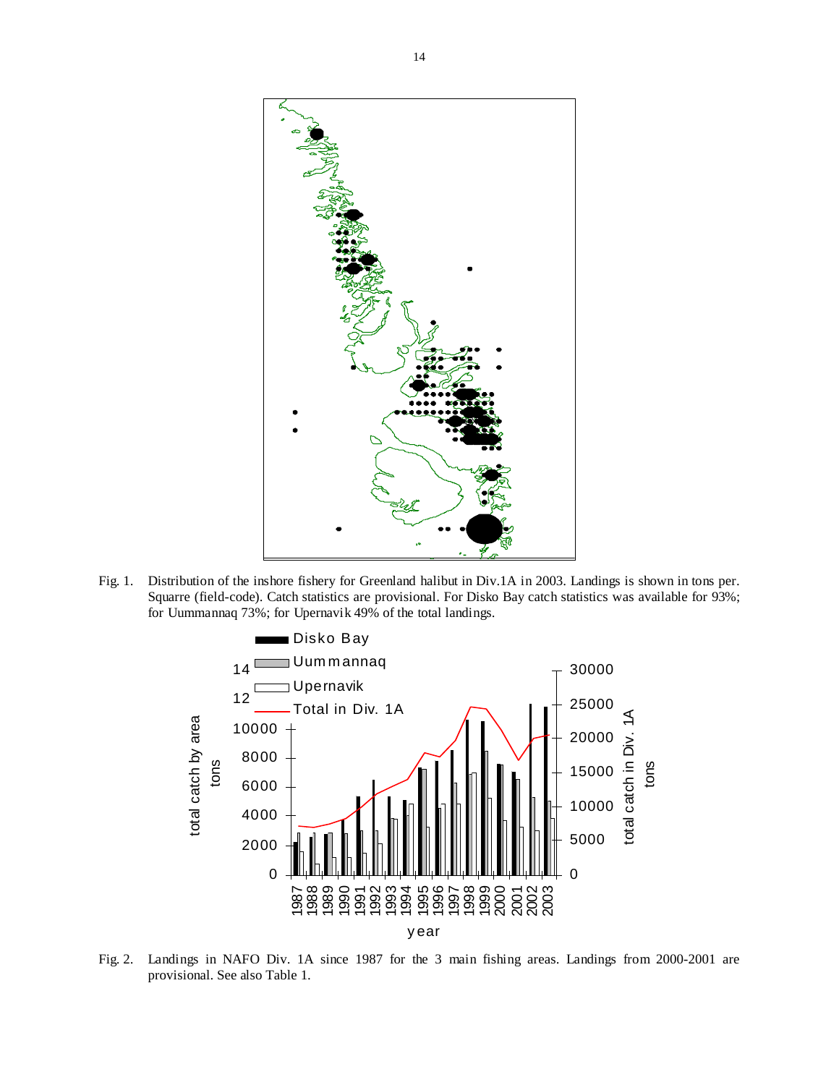

Fig. 1. Distribution of the inshore fishery for Greenland halibut in Div.1A in 2003. Landings is shown in tons per. Squarre (field-code). Catch statistics are provisional. For Disko Bay catch statistics was available for 93%; for Uummannaq 73%; for Upernavik 49% of the total landings.



Fig. 2. Landings in NAFO Div. 1A since 1987 for the 3 main fishing areas. Landings from 2000-2001 are provisional. See also Table 1.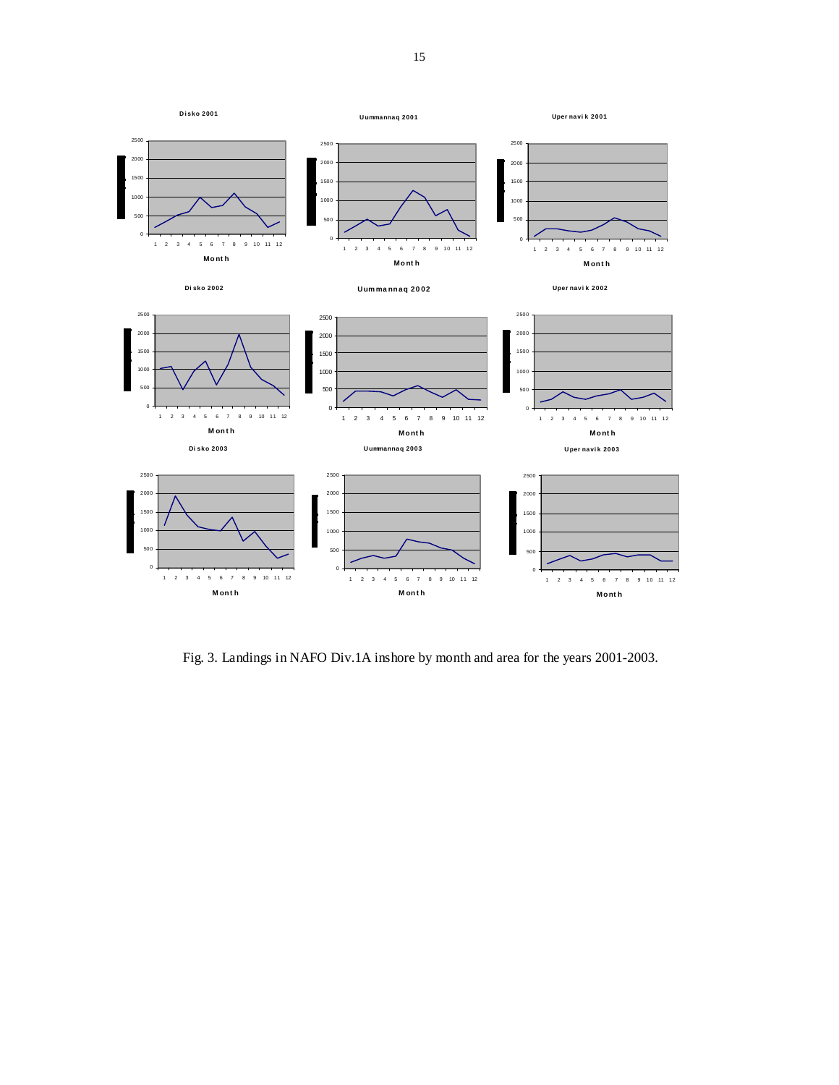

Fig. 3. Landings in NAFO Div.1A inshore by month and area for the years 2001-2003.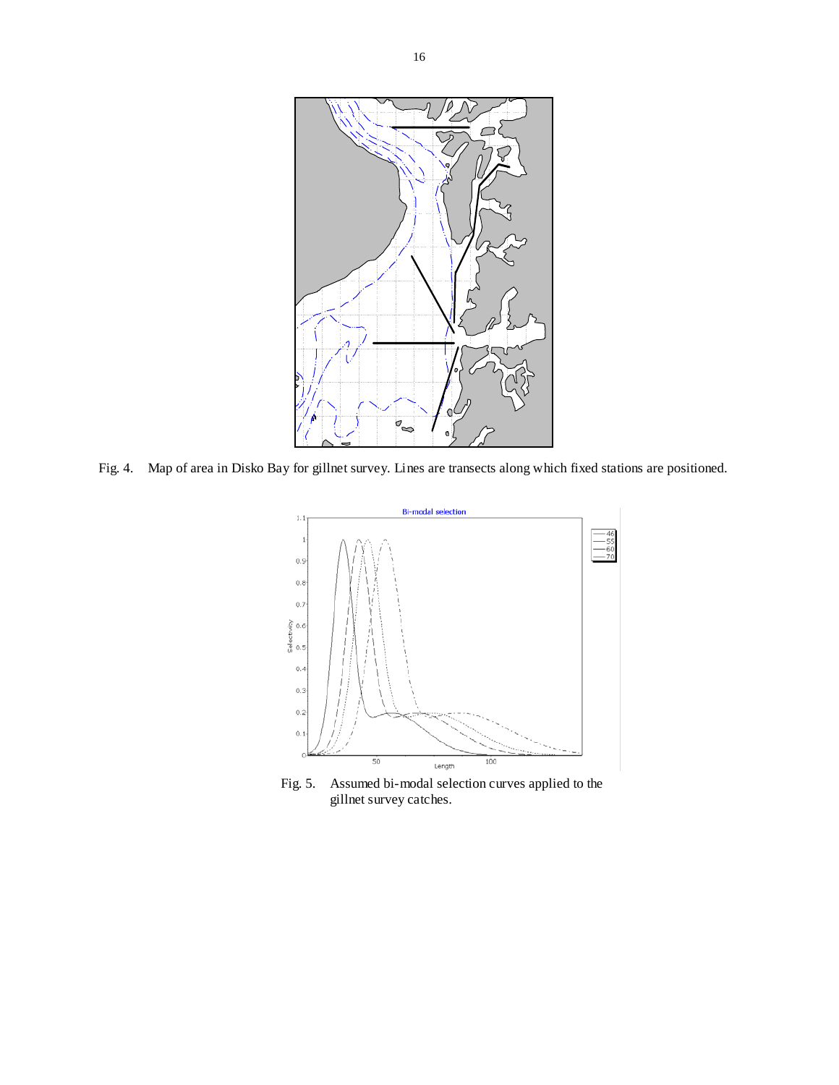

Fig. 4. Map of area in Disko Bay for gillnet survey. Lines are transects along which fixed stations are positioned.



Fig. 5. Assumed bi-modal selection curves applied to the gillnet survey catches.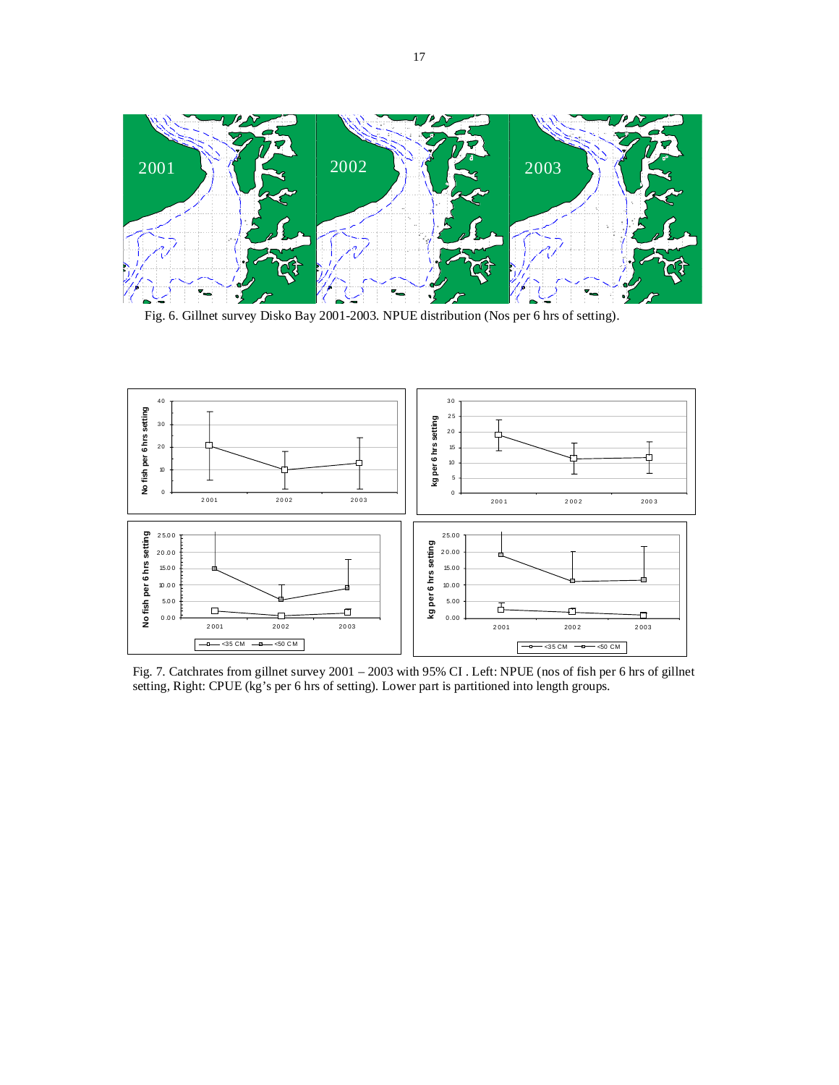

Fig. 6. Gillnet survey Disko Bay 2001-2003. NPUE distribution (Nos per 6 hrs of setting).



Fig. 7. Catchrates from gillnet survey 2001 – 2003 with 95% CI . Left: NPUE (nos of fish per 6 hrs of gillnet setting, Right: CPUE (kg's per 6 hrs of setting). Lower part is partitioned into length groups.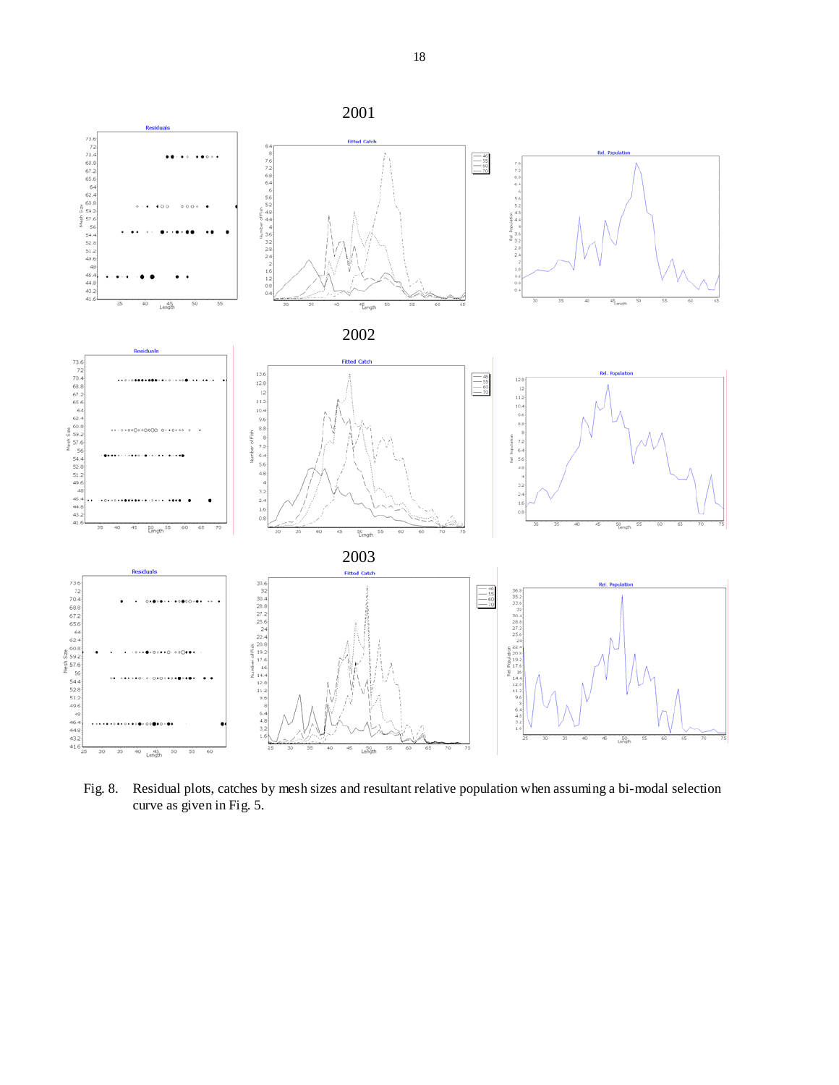

Fig. 8. Residual plots, catches by mesh sizes and resultant relative population when assuming a bi-modal selection curve as given in Fig. 5.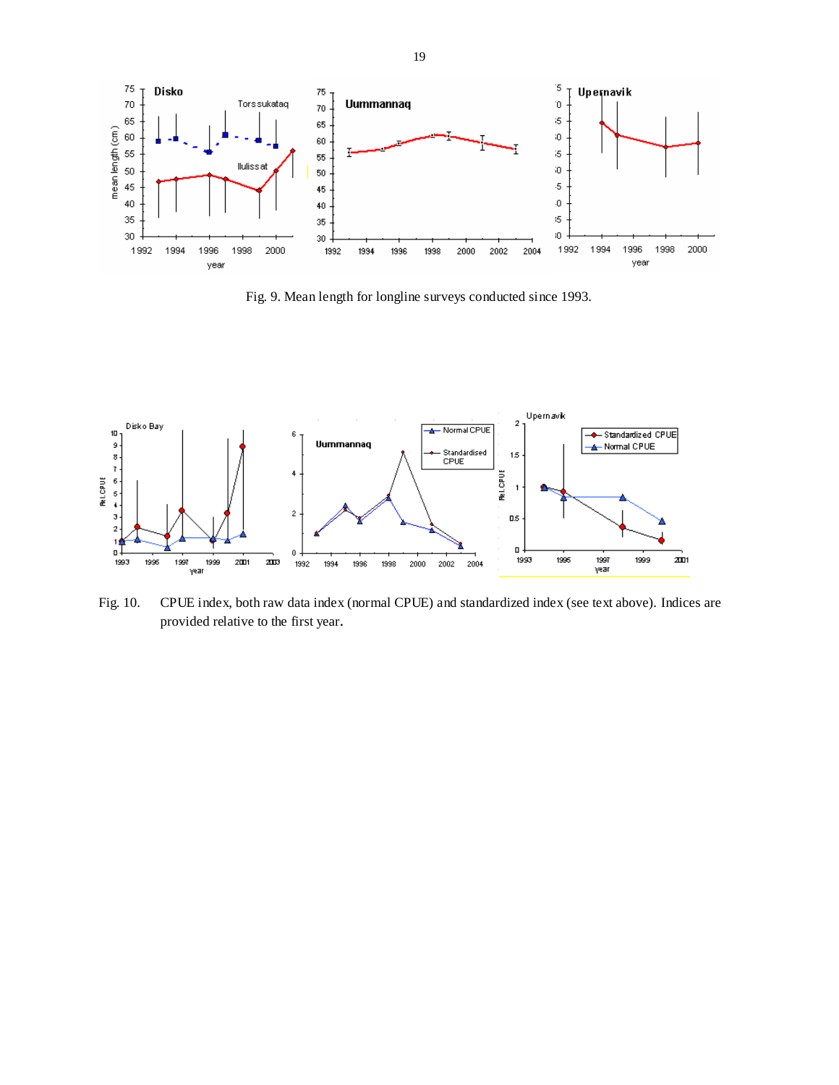

Fig. 9. Mean length for longline surveys conducted since 1993.



Fig. 10. CPUE index, both raw data index (normal CPUE) and standardized index (see text above). Indices are provided relative to the first year.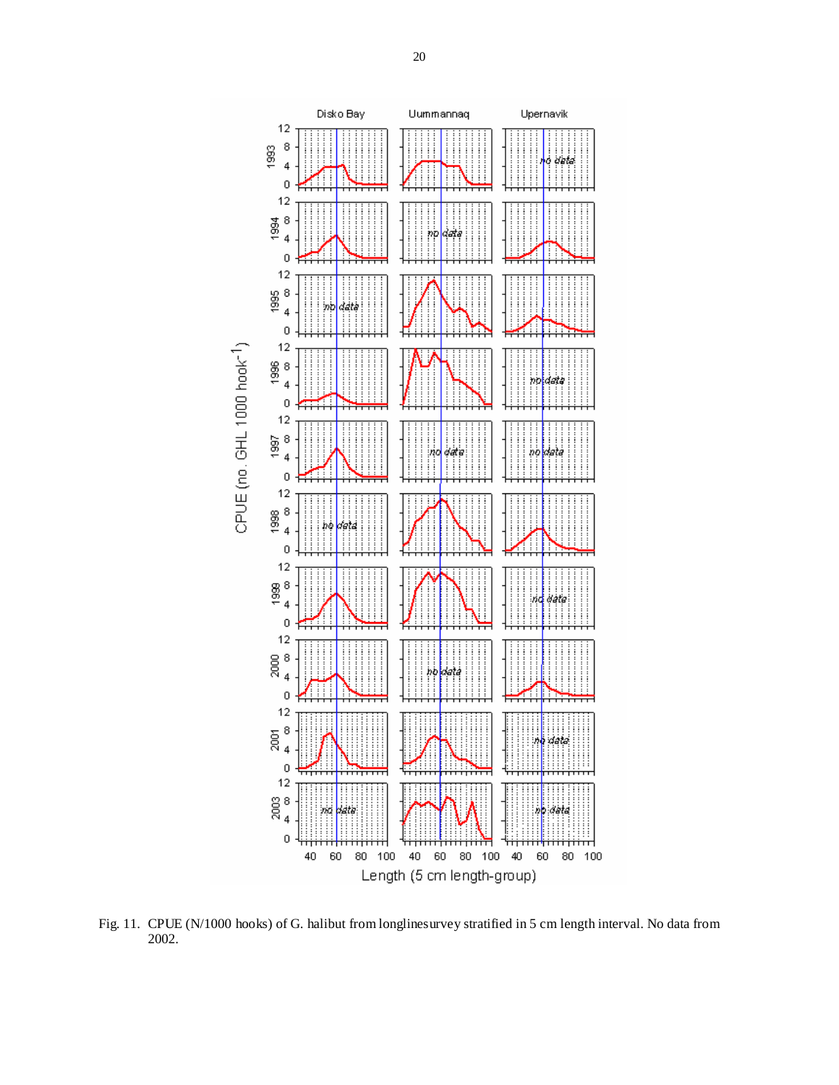

Fig. 11. CPUE (N/1000 hooks) of G. halibut from longlinesurvey stratified in 5 cm length interval. No data from 2002.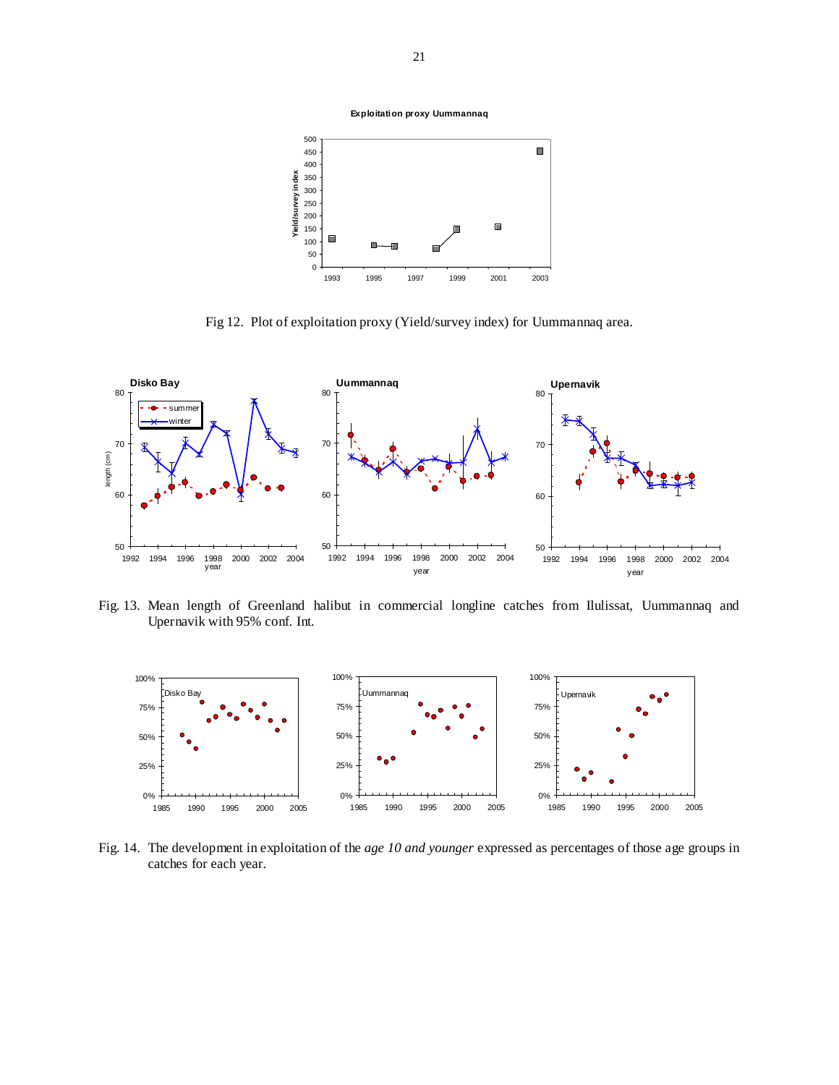

Fig 12.Plot of exploitation proxy (Yield/survey index) for Uummannaq area.



Fig. 13. Mean length of Greenland halibut in commercial longline catches from Ilulissat, Uummannaq and Upernavik with 95% conf. Int.



Fig. 14. The development in exploitation of the *age 10 and younger* expressed as percentages of those age groups in catches for each year.

**Exploitation proxy Uummannaq**